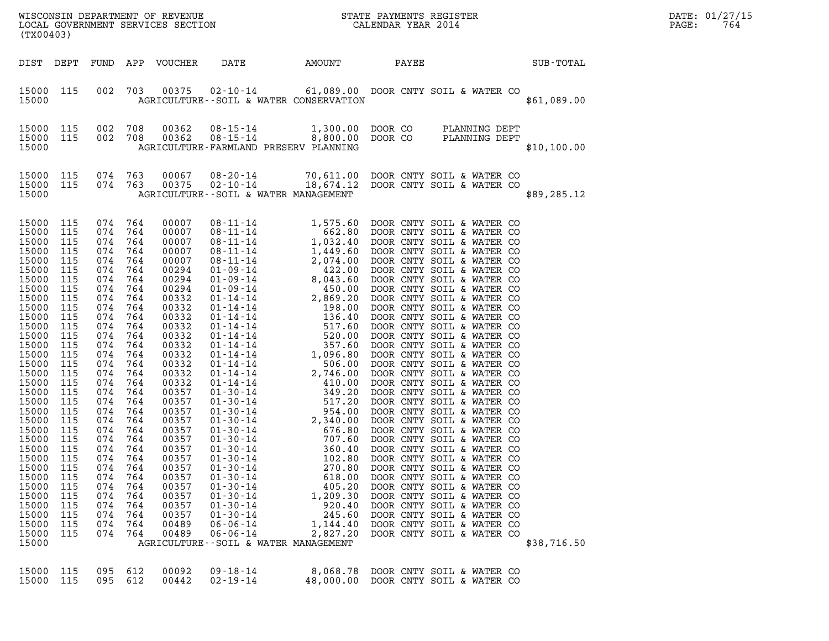| (TX00403)               |            |            |            | WISCONSIN DEPARTMENT OF REVENUE<br>LOCAL GOVERNMENT SERVICES SECTION |                                                            |                                  | STATE PAYMENTS REGISTER<br>CALENDAR YEAR 2014 |                                |             | DATE: 01/27/15<br>764<br>PAGE: |
|-------------------------|------------|------------|------------|----------------------------------------------------------------------|------------------------------------------------------------|----------------------------------|-----------------------------------------------|--------------------------------|-------------|--------------------------------|
| DIST                    | DEPT       | FUND       | APP        | <b>VOUCHER</b>                                                       | DATE                                                       | AMOUNT                           | PAYEE                                         |                                | SUB-TOTAL   |                                |
| 15000<br>15000          | 115        | 002        | 703        | 00375                                                                | 02-10-14<br>AGRICULTURE--SOIL & WATER CONSERVATION         | 61,089.00                        |                                               | DOOR CNTY SOIL & WATER CO      | \$61,089.00 |                                |
| 15000<br>15000<br>15000 | 115<br>115 | 002<br>002 | 708<br>708 | 00362<br>00362                                                       | 08-15-14<br>$08 - 15 - 14$<br>AGRICULTURE-FARMLAND PRESERV | 1,300.00<br>8,800.00<br>PLANNING | DOOR CO<br>DOOR CO                            | PLANNING DEPT<br>PLANNING DEPT | \$10,100.00 |                                |

| DIST                                                                                                                                                                                                                                                                                                           |                   |  |                                                                                                                                                                                                                                                                                                                       |  | SUB-TOTAL   |
|----------------------------------------------------------------------------------------------------------------------------------------------------------------------------------------------------------------------------------------------------------------------------------------------------------------|-------------------|--|-----------------------------------------------------------------------------------------------------------------------------------------------------------------------------------------------------------------------------------------------------------------------------------------------------------------------|--|-------------|
|                                                                                                                                                                                                                                                                                                                |                   |  | 15000 115 002 703 00375 02-10-14 61,089.00 DOOR CNTY SOIL & WATER CO<br>15000 AGRICULTURE--SOIL & WATER CONSERVATION                                                                                                                                                                                                  |  | \$61,089.00 |
|                                                                                                                                                                                                                                                                                                                |                   |  | 15000 115 002 708 00362 08-15-14 1,300.00 DOOR CO PLANNING DEPT<br>15000 115 002 708 00362 08-15-14 8,800.00 DOOR CO PLANNING DEPT<br>15000     AGRICULTURE-FARMLAND PRESERV PLANNING                                                                                                                                 |  | \$10,100.00 |
|                                                                                                                                                                                                                                                                                                                |                   |  | 15000 115 074 763 00067 08-20-14 70,611.00 DOOR CNTY SOIL & WATER CO<br>15000 115 074 763 00375 02-10-14 18,674.12 DOOR CNTY SOIL & WATER CO<br>15000 15 AGRICULTURE--SOIL & WATER MANAGEMENT                                                                                                                         |  | \$89,285.12 |
| 15000<br>15000<br>15000<br>15000<br>15000<br>15000<br>15000<br>15000<br>15000<br>15000<br>15000<br>15000<br>15000<br>15000<br>15000<br>15000<br>15000<br>15000<br>15000<br>15000<br>15000<br>15000<br>15000<br>15000<br>15000<br>15000<br>15000<br>15000<br>15000<br>15000<br>15000<br>15000<br>15000<br>15000 | 15000 115 074 764 |  | $\begin{tabular}{cccc} 115 & 074 & 764 & 00107 & 081.114 & 1.575.60 & DOOR CNTY SOLU & & WATER115 & 074 & 764 & 00007 & 081.11-14 & 562.50 & DOOR CNTY SOLU & & WATER CO \\ 115 & 074 & 764 & 00007 & 081.11-14 & 1.022.40 & DOOR CNTY SOLU & & WATER CO \\ 115 & 074 & 764 & 00294 & 01.124 & 2.449.460 & DOOR CNTY$ |  | \$38,716.50 |
|                                                                                                                                                                                                                                                                                                                |                   |  | 15000 115 095 612 00092 09-18-14 8,068.78 DOOR CNTY SOIL & WATER CO<br>15000 115 095 612 00442 02-19-14 48,000.00 DOOR CNTY SOIL & WATER CO                                                                                                                                                                           |  |             |

|  |  | 117 117 118 119 119 119 119 119 119 119 119 | O, UOO. TO DUUR CINII SUILI & WATER |  |  |
|--|--|---------------------------------------------|-------------------------------------|--|--|
|  |  | 5000 115 095 612 00442 02–19–14             | 48,000.00 DOOR CNTY SOIL & WATER    |  |  |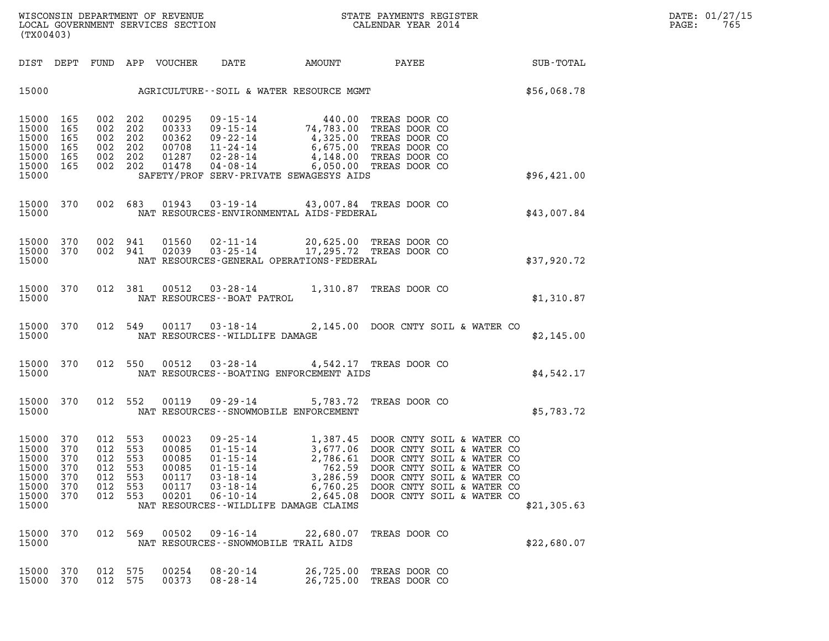| (TX00403)                                                            |                                               |                                               |                                               |                                                             |                                                                                                          |                                                                                                                                  |                                                                                                                                                                                                                                                                                 |             |
|----------------------------------------------------------------------|-----------------------------------------------|-----------------------------------------------|-----------------------------------------------|-------------------------------------------------------------|----------------------------------------------------------------------------------------------------------|----------------------------------------------------------------------------------------------------------------------------------|---------------------------------------------------------------------------------------------------------------------------------------------------------------------------------------------------------------------------------------------------------------------------------|-------------|
| DIST                                                                 | DEPT                                          |                                               |                                               | FUND APP VOUCHER DATE                                       |                                                                                                          |                                                                                                                                  | AMOUNT PAYEE                                                                                                                                                                                                                                                                    | SUB-TOTAL   |
| 15000                                                                |                                               |                                               |                                               |                                                             |                                                                                                          | AGRICULTURE--SOIL & WATER RESOURCE MGMT                                                                                          |                                                                                                                                                                                                                                                                                 | \$56,068.78 |
| 15000<br>15000<br>15000<br>15000<br>15000<br>15000<br>15000          | 165<br>165<br>165<br>165<br>165<br>165        | 002<br>002<br>002<br>002<br>002<br>002 202    | 202<br>202<br>202<br>202<br>202               | 00295<br>00333<br>00362<br>00708<br>01478                   | 09-15-14<br>$09 - 15 - 14$<br>$09 - 22 - 14$<br>11 - 24 - 14<br>$01287$ $02 - 28 - 14$<br>$04 - 08 - 14$ | 74,783.00<br>SAFETY/PROF SERV-PRIVATE SEWAGESYS AIDS                                                                             | 440.00 TREAS DOOR CO<br>TREAS DOOR CO<br>4,325.00 TREAS DOOR CO<br>6,675.00 TREAS DOOR CO<br>4,148.00 TREAS DOOR CO<br>6,050.00 TREAS DOOR CO                                                                                                                                   | \$96,421.00 |
| 15000<br>15000                                                       | 370                                           |                                               | 002 683                                       | 01943                                                       |                                                                                                          | 03-19-14 43,007.84 TREAS DOOR CO<br>NAT RESOURCES-ENVIRONMENTAL AIDS-FEDERAL                                                     |                                                                                                                                                                                                                                                                                 | \$43,007.84 |
| 15000<br>15000<br>15000                                              | 370<br>370                                    | 002                                           | 002 941<br>941                                |                                                             |                                                                                                          | 01560  02-11-14  20,625.00 TREAS DOOR CO<br>02039  03-25-14  17,295.72 TREAS DOOR CO<br>NAT RESOURCES-GENERAL OPERATIONS-FEDERAL |                                                                                                                                                                                                                                                                                 | \$37,920.72 |
| 15000<br>15000                                                       | 370                                           |                                               | 012 381                                       |                                                             | NAT RESOURCES - - BOAT PATROL                                                                            | 00512  03-28-14  1,310.87  TREAS DOOR CO                                                                                         |                                                                                                                                                                                                                                                                                 | \$1,310.87  |
| 15000<br>15000                                                       | 370                                           |                                               | 012 549                                       |                                                             | NAT RESOURCES - - WILDLIFE DAMAGE                                                                        |                                                                                                                                  | 00117 03-18-14 2,145.00 DOOR CNTY SOIL & WATER CO                                                                                                                                                                                                                               | \$2,145.00  |
| 15000<br>15000                                                       | 370                                           |                                               | 012 550                                       |                                                             |                                                                                                          | 00512 03-28-14 4,542.17 TREAS DOOR CO<br>NAT RESOURCES - - BOATING ENFORCEMENT AIDS                                              |                                                                                                                                                                                                                                                                                 | \$4,542.17  |
| 15000<br>15000                                                       | 370                                           |                                               | 012 552                                       | 00119                                                       | $09 - 29 - 14$                                                                                           | NAT RESOURCES - - SNOWMOBILE ENFORCEMENT                                                                                         | 5,783.72 TREAS DOOR CO                                                                                                                                                                                                                                                          | \$5,783.72  |
| 15000<br>15000<br>15000<br>15000<br>15000<br>15000<br>15000<br>15000 | 370<br>370<br>370<br>370<br>370<br>370<br>370 | 012<br>012<br>012<br>012<br>012<br>012<br>012 | 553<br>553<br>553<br>553<br>553<br>553<br>553 | 00023<br>00085<br>00085<br>00085<br>00117<br>00117<br>00201 | $06 - 10 - 14$                                                                                           | 2,645.08<br>NAT RESOURCES--WILDLIFE DAMAGE CLAIMS                                                                                | 09-25-14<br>01-15-14<br>3,677.06 DOOR CNTY SOIL & WATER CO<br>01-15-14<br>2,786.61 DOOR CNTY SOIL & WATER CO<br>01-15-14<br>3,286.59 DOOR CNTY SOIL & WATER CO<br>03-18-14<br>3,286.59 DOOR CNTY SOIL & WATER CO<br>03-18-14<br>6,760.25 DOOR CNTY<br>DOOR CNTY SOIL & WATER CO | \$21,305.63 |
| 15000<br>15000                                                       | 370                                           | 012                                           | 569                                           | 00502                                                       | $09 - 16 - 14$                                                                                           | 22,680.07 TREAS DOOR CO<br>NAT RESOURCES - - SNOWMOBILE TRAIL AIDS                                                               |                                                                                                                                                                                                                                                                                 | \$22,680.07 |
| 15000<br>15000                                                       | 370<br>370                                    | 012 575<br>012                                | 575                                           | 00254<br>00373                                              | $08 - 20 - 14$<br>$08 - 28 - 14$                                                                         | 26,725.00                                                                                                                        | 26,725.00 TREAS DOOR CO<br>TREAS DOOR CO                                                                                                                                                                                                                                        |             |
|                                                                      |                                               |                                               |                                               |                                                             |                                                                                                          |                                                                                                                                  |                                                                                                                                                                                                                                                                                 |             |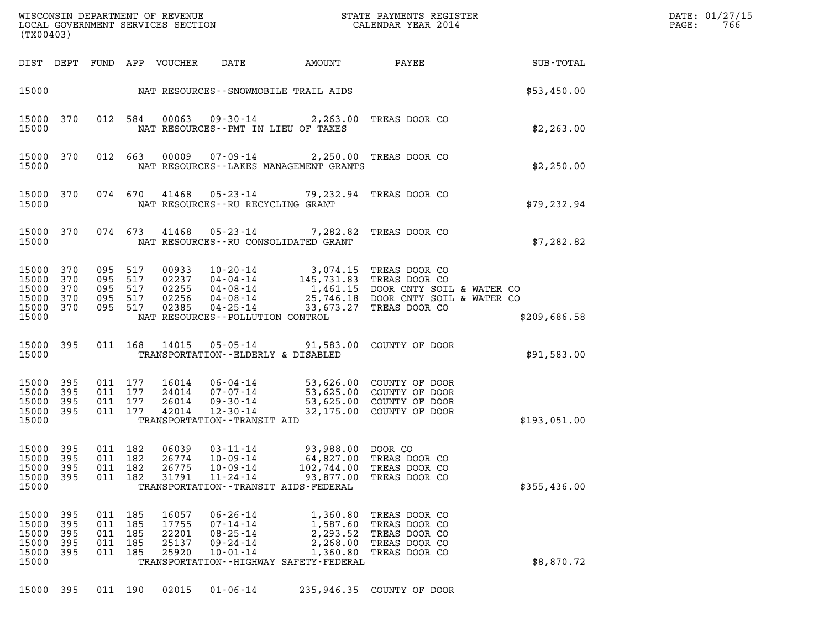| WISCONSIN DEPARTMENT OF REVENUE<br>(TX00403)                                                                             | STATE PAYMENTS REGISTER<br>LOCAL GOVERNMENT SERVICES SECTION<br>CALENDAR YEAR 2014                                                                                                                                                                                                                                                                                                   | DATE: 01/27/15<br>PAGE:<br>766 |
|--------------------------------------------------------------------------------------------------------------------------|--------------------------------------------------------------------------------------------------------------------------------------------------------------------------------------------------------------------------------------------------------------------------------------------------------------------------------------------------------------------------------------|--------------------------------|
| DIST DEPT                                                                                                                | FUND APP VOUCHER<br>DATE<br>AMOUNT<br>PAYEE<br>SUB-TOTAL                                                                                                                                                                                                                                                                                                                             |                                |
| 15000                                                                                                                    | NAT RESOURCES--SNOWMOBILE TRAIL AIDS<br>\$53,450.00                                                                                                                                                                                                                                                                                                                                  |                                |
| 15000<br>370<br>15000                                                                                                    | 00063<br>012 584<br>09-30-14<br>2,263.00<br>TREAS DOOR CO<br>NAT RESOURCES -- PMT IN LIEU OF TAXES<br>\$2,263.00                                                                                                                                                                                                                                                                     |                                |
| 15000<br>370<br>012<br>15000                                                                                             | 00009<br>663<br>07-09-14<br>2,250.00 TREAS DOOR CO<br>\$2,250.00<br>NAT RESOURCES--LAKES MANAGEMENT GRANTS                                                                                                                                                                                                                                                                           |                                |
| 15000<br>370<br>15000                                                                                                    | 074 670<br>41468<br>05-23-14<br>79,232.94<br>TREAS DOOR CO<br>NAT RESOURCES - - RU RECYCLING GRANT<br>\$79, 232.94                                                                                                                                                                                                                                                                   |                                |
| 15000<br>370<br>15000                                                                                                    | 074 673<br>41468<br>05-23-14<br>7,282.82<br>TREAS DOOR CO<br>NAT RESOURCES - - RU CONSOLIDATED GRANT<br>\$7,282.82                                                                                                                                                                                                                                                                   |                                |
| 095<br>15000<br>370<br>15000<br>370<br>095<br>15000<br>370<br>095<br>15000<br>370<br>095<br>15000<br>370<br>095<br>15000 | 517<br>00933<br>$10 - 20 - 14$<br>3,074.15 TREAS DOOR CO<br>517<br>02237<br>04-04-14<br>145,731.83 TREAS DOOR CO<br>517<br>02255<br>1,461.15 DOOR CNTY SOIL & WATER CO<br>04-08-14<br>517<br>02256<br>25,746.18 DOOR CNTY SOIL & WATER CO<br>04-08-14<br>517<br>02385<br>$04 - 25 - 14$<br>33,673.27<br>TREAS DOOR CO<br>NAT RESOURCES - - POLLUTION CONTROL<br>\$209,686.58         |                                |
| 395<br>15000<br>15000                                                                                                    | 14015<br>011 168<br>05-05-14<br>91,583.00 COUNTY OF DOOR<br>TRANSPORTATION--ELDERLY & DISABLED<br>\$91,583.00                                                                                                                                                                                                                                                                        |                                |
| 395<br>15000<br>15000<br>395<br>15000<br>395<br>011<br>15000<br>395<br>15000                                             | 011 177<br>16014<br>53,626.00 COUNTY OF DOOR<br>06-04-14<br>011 177<br>24014<br>53,625.00 COUNTY OF DOOR<br>07-07-14<br>177<br>26014<br>53,625.00 COUNTY OF DOOR<br>$09 - 30 - 14$<br>011 177<br>42014<br>32,175.00 COUNTY OF DOOR<br>$12 - 30 - 14$<br>\$193,051.00<br>TRANSPORTATION - - TRANSIT AID                                                                               |                                |
| 15000<br>395<br>15000<br>395<br>011<br>15000<br>395<br>011<br>15000<br>395<br>011<br>15000                               | 06039<br>011 182<br>$03 - 11 - 14$<br>93,988.00 DOOR CO<br>182<br>26774<br>$10 - 09 - 14$<br>64,827.00<br>TREAS DOOR CO<br>182<br>26775<br>$10 - 09 - 14$<br>102,744.00<br>TREAS DOOR CO<br>182<br>31791<br>$11 - 24 - 14$<br>93,877.00<br>TREAS DOOR CO<br>TRANSPORTATION - - TRANSIT AIDS - FEDERAL<br>\$355,436.00                                                                |                                |
| 15000<br>395<br>011<br>15000<br>395<br>011<br>15000<br>395<br>011<br>15000<br>395<br>011<br>15000<br>395<br>011<br>15000 | 185<br>16057<br>$06 - 26 - 14$<br>1,360.80<br>TREAS DOOR CO<br>185<br>17755<br>$07 - 14 - 14$<br>1,587.60<br>TREAS DOOR CO<br>22201<br>$08 - 25 - 14$<br>2,293.52<br>TREAS DOOR CO<br>185<br>185<br>25137<br>$09 - 24 - 14$<br>2,268.00<br>TREAS DOOR CO<br>185<br>25920<br>$10 - 01 - 14$<br>1,360.80<br>TREAS DOOR CO<br>\$8,870.72<br>TRANSPORTATION - - HIGHWAY SAFETY - FEDERAL |                                |
| 15000<br>395                                                                                                             | 011 190<br>02015<br>$01 - 06 - 14$<br>COUNTY OF DOOR<br>235,946.35                                                                                                                                                                                                                                                                                                                   |                                |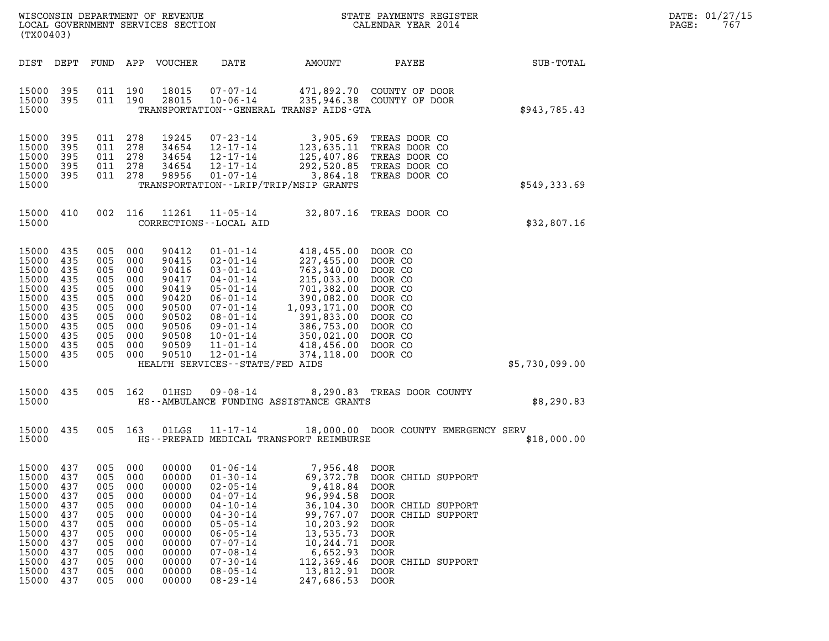|                   | DATE: 01/27/15 |
|-------------------|----------------|
| $\mathtt{PAGE}$ : | 767            |

| (TX00403)                                                                                                                                                                                                    |                                                                                                                                                                                                                                                                                                         | WISCONSIN DEPARTMENT OF REVENUE                               STATE PAYMENTS REGISTER LOCAL GOVERNMENT SERVICES SECTION                             CALENDAR YEAR 2014                                                                                                                                                                                                                                                                         |                                                                                                                                                                                                 |                | DATE: 01/27/15<br>PAGE:<br>767 |
|--------------------------------------------------------------------------------------------------------------------------------------------------------------------------------------------------------------|---------------------------------------------------------------------------------------------------------------------------------------------------------------------------------------------------------------------------------------------------------------------------------------------------------|------------------------------------------------------------------------------------------------------------------------------------------------------------------------------------------------------------------------------------------------------------------------------------------------------------------------------------------------------------------------------------------------------------------------------------------------|-------------------------------------------------------------------------------------------------------------------------------------------------------------------------------------------------|----------------|--------------------------------|
| DIST DEPT                                                                                                                                                                                                    | FUND APP VOUCHER                                                                                                                                                                                                                                                                                        | DATE<br>AMOUNT                                                                                                                                                                                                                                                                                                                                                                                                                                 | PAYEE                                                                                                                                                                                           | SUB-TOTAL      |                                |
| 15000 395<br>15000 395<br>15000                                                                                                                                                                              | 011 190<br>18015<br>011 190<br>28015                                                                                                                                                                                                                                                                    | 07-07-14<br>235,946.38 COUNTY OF DOOR<br>$10 - 06 - 14$<br>TRANSPORTATION--GENERAL TRANSP AIDS-GTA                                                                                                                                                                                                                                                                                                                                             | 471,892.70 COUNTY OF DOOR                                                                                                                                                                       | \$943,785.43   |                                |
| 15000 395<br>15000<br>395<br>15000<br>395<br>15000<br>395<br>15000 395<br>15000                                                                                                                              | 278<br>19245<br>011<br>011<br>278<br>34654<br>011 278<br>34654<br>011 278<br>34654<br>011 278<br>98956                                                                                                                                                                                                  | $07 - 23 - 14$<br>3,905.69 TREAS DOOR CO<br>123,635.11 TREAS DOOR CO<br>125,407.86 TREAS DOOR CO<br>12-17-14<br>$12 - 17 - 14$<br>$12 - 17 - 14$<br>292,520.85<br>3,864.18<br>$01 - 07 - 14$<br>TRANSPORTATION - - LRIP/TRIP/MSIP GRANTS                                                                                                                                                                                                       | TREAS DOOR CO<br>TREAS DOOR CO                                                                                                                                                                  | \$549,333.69   |                                |
| 15000 410<br>15000                                                                                                                                                                                           | 002 116<br>11261<br>CORRECTIONS - - LOCAL AID                                                                                                                                                                                                                                                           | 11-05-14 32,807.16 TREAS DOOR CO                                                                                                                                                                                                                                                                                                                                                                                                               |                                                                                                                                                                                                 | \$32,807.16    |                                |
| 15000 435<br>15000<br>435<br>15000<br>435<br>15000<br>435<br>15000<br>435<br>15000<br>435<br>15000<br>435<br>15000<br>435<br>15000<br>435<br>15000<br>435<br>15000<br>435<br>15000 435<br>15000              | 005<br>90412<br>000<br>005<br>000<br>90415<br>005<br>000<br>90416<br>005<br>000<br>90417<br>005<br>90419<br>000<br>005<br>000<br>90420<br>005<br>000<br>90500<br>005<br>000<br>90502<br>005<br>90506<br>000<br>005<br>000<br>90508<br>005<br>000<br>90509<br>005<br>000<br>90510                        | $01 - 01 - 14$<br>418,455.00<br>$02 - 01 - 14$<br>227,455.00<br>$03 - 01 - 14$<br>763,340.00<br>215,033.00<br>$04 - 01 - 14$<br>$701,382.00$<br>$390,082.00$<br>$1,093,171.00$<br>$391,833.00$<br>$05 - 01 - 14$<br>$06 - 01 - 14$<br>$07 - 01 - 14$<br>08-01-14<br>386,753.00<br>350,021.00<br>09-01-14<br>$10 - 01 - 14$<br>350,021.00<br>418,456.00<br>$11 - 01 - 14$<br>$12 - 01 - 14$<br>374,118.00<br>HEALTH SERVICES - - STATE/FED AIDS | DOOR CO<br>DOOR CO<br>DOOR CO<br>DOOR CO<br>DOOR CO<br>DOOR CO<br>DOOR CO<br>DOOR CO<br>DOOR CO<br>DOOR CO<br>DOOR CO<br>DOOR CO                                                                | \$5,730,099.00 |                                |
| 15000 435<br>15000                                                                                                                                                                                           | 005 162<br>01HSD                                                                                                                                                                                                                                                                                        | 09-08-14<br>HS--AMBULANCE FUNDING ASSISTANCE GRANTS                                                                                                                                                                                                                                                                                                                                                                                            | 8,290.83 TREAS DOOR COUNTY                                                                                                                                                                      | \$8,290.83     |                                |
| 15000 435<br>15000                                                                                                                                                                                           | $01LGS$ $11-17-14$<br>005 163                                                                                                                                                                                                                                                                           | HS--PREPAID MEDICAL TRANSPORT REIMBURSE                                                                                                                                                                                                                                                                                                                                                                                                        | 18,000.00 DOOR COUNTY EMERGENCY SERV                                                                                                                                                            | \$18,000.00    |                                |
| 15000<br>437<br>15000<br>437<br>15000<br>437<br>15000<br>437<br>15000<br>437<br>15000<br>437<br>15000<br>437<br>15000<br>437<br>15000<br>437<br>15000<br>437<br>15000<br>437<br>15000<br>437<br>15000<br>437 | 005<br>000<br>00000<br>005<br>000<br>00000<br>005<br>000<br>00000<br>005<br>00000<br>000<br>005<br>000<br>00000<br>005<br>00000<br>000<br>005<br>000<br>00000<br>005<br>00000<br>000<br>005<br>000<br>00000<br>00000<br>005<br>000<br>000<br>00000<br>005<br>00000<br>005<br>000<br>005<br>000<br>00000 | $01 - 06 - 14$<br>7,956.48<br>$01 - 30 - 14$<br>69,372.78<br>$02 - 05 - 14$<br>9,418.84<br>$04 - 07 - 14$<br>96,994.58<br>$04 - 10 - 14$<br>36,104.30<br>$04 - 30 - 14$<br>99,767.07<br>$05 - 05 - 14$<br>10,203.92<br>$06 - 05 - 14$<br>13,535.73<br>$07 - 07 - 14$<br>10,244.71<br>$07 - 08 - 14$<br>6,652.93<br>$07 - 30 - 14$<br>112,369.46<br>$08 - 05 - 14$<br>13,812.91<br>$08 - 29 - 14$<br>247,686.53                                 | <b>DOOR</b><br>DOOR CHILD SUPPORT<br>DOOR<br>DOOR<br>DOOR CHILD SUPPORT<br>DOOR CHILD SUPPORT<br><b>DOOR</b><br><b>DOOR</b><br><b>DOOR</b><br>DOOR<br>DOOR CHILD SUPPORT<br><b>DOOR</b><br>DOOR |                |                                |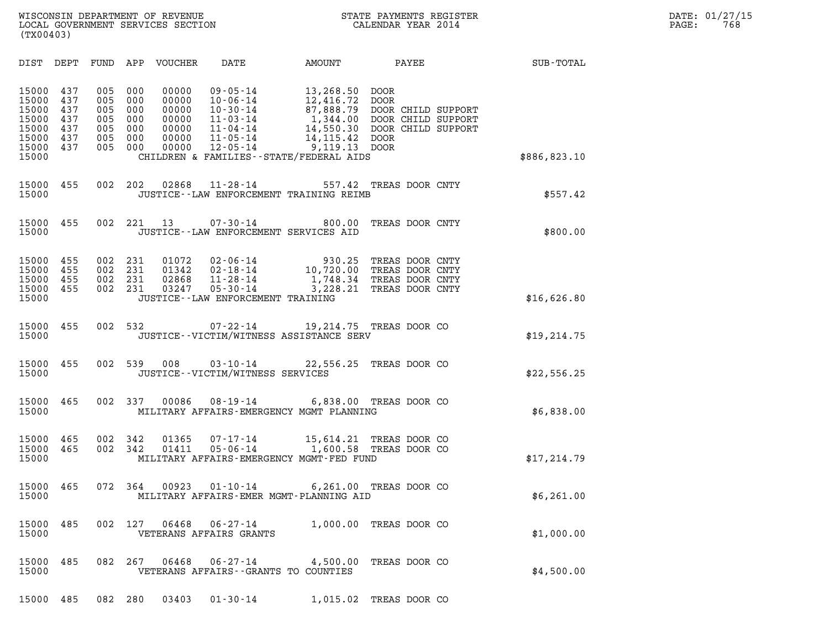| (TX00403)                                                                                                                                                              |                                                                                                                                                                                                                                                                                                                                                                                                                                                                           |                  |
|------------------------------------------------------------------------------------------------------------------------------------------------------------------------|---------------------------------------------------------------------------------------------------------------------------------------------------------------------------------------------------------------------------------------------------------------------------------------------------------------------------------------------------------------------------------------------------------------------------------------------------------------------------|------------------|
| DIST<br>DEPT<br>FUND                                                                                                                                                   | APP<br>VOUCHER<br>DATE<br>AMOUNT<br>PAYEE                                                                                                                                                                                                                                                                                                                                                                                                                                 | <b>SUB-TOTAL</b> |
| 15000<br>437<br>005<br>15000<br>437<br>005<br>15000<br>437<br>005<br>15000<br>437<br>005<br>15000<br>437<br>005<br>15000<br>437<br>005<br>15000<br>437<br>005<br>15000 | 000<br>00000<br>$09 - 05 - 14$<br>13,268.50<br>DOOR<br>000<br>00000<br>$10 - 06 - 14$<br>12,416.72<br><b>DOOR</b><br>87,888.79<br>000<br>00000<br>$10 - 30 - 14$<br>DOOR CHILD SUPPORT<br>000<br>00000<br>$11 - 03 - 14$<br>1,344.00 DOOR CHILD SUPPORT<br>000<br>00000<br>$11 - 04 - 14$<br>14,550.30 DOOR CHILD SUPPORT<br>000<br>00000<br>11-05-14<br>14, 115.42 DOOR<br>9,119.13 DOOR<br>000<br>00000<br>$12 - 05 - 14$<br>CHILDREN & FAMILIES - - STATE/FEDERAL AIDS | \$886,823.10     |
| 15000<br>455<br>002<br>15000                                                                                                                                           | 202<br>02868<br>$11 - 28 - 14$<br>557.42<br>TREAS DOOR CNTY<br>JUSTICE -- LAW ENFORCEMENT TRAINING REIMB                                                                                                                                                                                                                                                                                                                                                                  | \$557.42         |
| 15000<br>455<br>002<br>15000                                                                                                                                           | 221<br>13<br>$07 - 30 - 14$<br>800.00<br>TREAS DOOR CNTY<br>JUSTICE--LAW ENFORCEMENT SERVICES AID                                                                                                                                                                                                                                                                                                                                                                         | \$800.00         |
| 15000<br>455<br>002<br>15000<br>455<br>002<br>15000<br>455<br>002<br>15000<br>455<br>002<br>15000                                                                      | 231<br>01072<br>$02 - 06 - 14$<br>930.25<br>TREAS DOOR CNTY<br>231<br>01342<br>02-18-14<br>10,720.00<br>TREAS DOOR CNTY<br>231<br>02868<br>$11 - 28 - 14$<br>1,748.34<br>TREAS DOOR CNTY<br>231<br>03247<br>$05 - 30 - 14$<br>3,228.21<br>TREAS DOOR CNTY<br>JUSTICE - - LAW ENFORCEMENT TRAINING                                                                                                                                                                         | \$16,626.80      |
| 002<br>15000<br>455<br>15000                                                                                                                                           | 532<br>$07 - 22 - 14$<br>19,214.75 TREAS DOOR CO<br>JUSTICE -- VICTIM/WITNESS ASSISTANCE SERV                                                                                                                                                                                                                                                                                                                                                                             | \$19, 214.75     |
| 002<br>15000<br>455<br>15000                                                                                                                                           | 539<br>008<br>$03 - 10 - 14$<br>22,556.25 TREAS DOOR CO<br>JUSTICE - - VICTIM/WITNESS SERVICES                                                                                                                                                                                                                                                                                                                                                                            | \$22,556.25      |
| 15000<br>465<br>002<br>15000                                                                                                                                           | 337<br>00086<br>$08 - 19 - 14$<br>6,838.00 TREAS DOOR CO<br>MILITARY AFFAIRS-EMERGENCY MGMT PLANNING                                                                                                                                                                                                                                                                                                                                                                      | \$6,838.00       |
| 15000<br>465<br>002<br>15000<br>465<br>002<br>15000                                                                                                                    | 342<br>01365<br>$07 - 17 - 14$<br>15,614.21<br>TREAS DOOR CO<br>342<br>01411<br>$05 - 06 - 14$<br>1,600.58<br>TREAS DOOR CO<br>MILITARY AFFAIRS-EMERGENCY MGMT-FED FUND                                                                                                                                                                                                                                                                                                   | \$17,214.79      |
| 465<br>072<br>15000<br>15000                                                                                                                                           | 364<br>00923<br>$01 - 10 - 14$<br>6,261.00<br>TREAS DOOR CO<br>MILITARY AFFAIRS-EMER MGMT-PLANNING AID                                                                                                                                                                                                                                                                                                                                                                    | \$6,261.00       |
| 485<br>002<br>15000<br>15000                                                                                                                                           | 127<br>06468<br>$06 - 27 - 14$<br>1,000.00<br>TREAS DOOR CO<br>VETERANS AFFAIRS GRANTS                                                                                                                                                                                                                                                                                                                                                                                    | \$1,000.00       |
| 485<br>082<br>15000<br>15000                                                                                                                                           | 267<br>06468<br>$06 - 27 - 14$<br>4,500.00<br>TREAS DOOR CO<br>VETERANS AFFAIRS -- GRANTS TO COUNTIES                                                                                                                                                                                                                                                                                                                                                                     | \$4,500.00       |

15000 485 082 280 03403 01-30-14 1,015.02 TREAS DOOR CO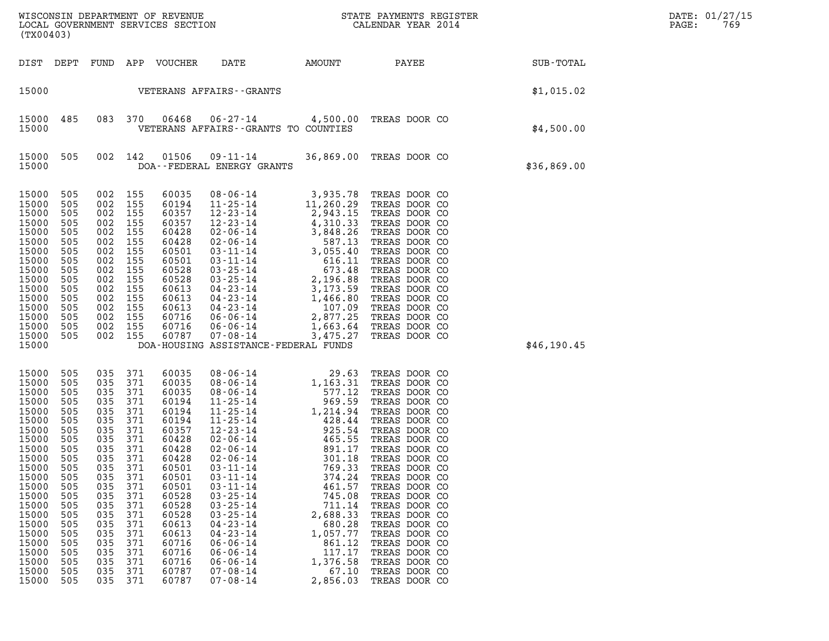|                                                                                                                                                                                                             | LOCAL GOVERNMENT SERVICES SECTION<br>(TX00403)                                                                                                                |                                                                                                                                                               |                                                                                                                                                               |                                                                                                                                                                                                             |                                                                                                                                                                                                                                                                                                                                                                                                                      |                                                                                                                                                                                                                                              |                                                                                                                                                                                                                                                                                                                                                                                                     |             | DATE: 01/27/15<br>PAGE:<br>769 |
|-------------------------------------------------------------------------------------------------------------------------------------------------------------------------------------------------------------|---------------------------------------------------------------------------------------------------------------------------------------------------------------|---------------------------------------------------------------------------------------------------------------------------------------------------------------|---------------------------------------------------------------------------------------------------------------------------------------------------------------|-------------------------------------------------------------------------------------------------------------------------------------------------------------------------------------------------------------|----------------------------------------------------------------------------------------------------------------------------------------------------------------------------------------------------------------------------------------------------------------------------------------------------------------------------------------------------------------------------------------------------------------------|----------------------------------------------------------------------------------------------------------------------------------------------------------------------------------------------------------------------------------------------|-----------------------------------------------------------------------------------------------------------------------------------------------------------------------------------------------------------------------------------------------------------------------------------------------------------------------------------------------------------------------------------------------------|-------------|--------------------------------|
| DIST DEPT                                                                                                                                                                                                   |                                                                                                                                                               | FUND                                                                                                                                                          |                                                                                                                                                               | APP VOUCHER                                                                                                                                                                                                 | DATE                                                                                                                                                                                                                                                                                                                                                                                                                 | AMOUNT                                                                                                                                                                                                                                       | <b>PAYEE</b>                                                                                                                                                                                                                                                                                                                                                                                        | SUB-TOTAL   |                                |
| 15000                                                                                                                                                                                                       |                                                                                                                                                               |                                                                                                                                                               |                                                                                                                                                               |                                                                                                                                                                                                             | VETERANS AFFAIRS - - GRANTS                                                                                                                                                                                                                                                                                                                                                                                          |                                                                                                                                                                                                                                              |                                                                                                                                                                                                                                                                                                                                                                                                     | \$1,015.02  |                                |
| 15000<br>15000                                                                                                                                                                                              | 485                                                                                                                                                           | 083 370                                                                                                                                                       |                                                                                                                                                               | 06468                                                                                                                                                                                                       | 06-27-14 4,500.00 TREAS DOOR CO<br>VETERANS AFFAIRS -- GRANTS TO COUNTIES                                                                                                                                                                                                                                                                                                                                            |                                                                                                                                                                                                                                              |                                                                                                                                                                                                                                                                                                                                                                                                     | \$4,500.00  |                                |
| 15000<br>15000                                                                                                                                                                                              | 505                                                                                                                                                           | 002 142                                                                                                                                                       |                                                                                                                                                               | 01506                                                                                                                                                                                                       | $09 - 11 - 14$<br>DOA--FEDERAL ENERGY GRANTS                                                                                                                                                                                                                                                                                                                                                                         |                                                                                                                                                                                                                                              | 36,869.00 TREAS DOOR CO                                                                                                                                                                                                                                                                                                                                                                             | \$36,869.00 |                                |
| 15000<br>15000<br>15000<br>15000<br>15000<br>15000<br>15000<br>15000<br>15000<br>15000<br>15000<br>15000<br>15000<br>15000<br>15000<br>15000<br>15000                                                       | 505<br>505<br>505<br>505<br>505<br>505<br>505<br>505<br>505<br>505<br>505<br>505<br>505<br>505<br>505<br>505                                                  | 002 155<br>002<br>002<br>002<br>002<br>002<br>002<br>002<br>002<br>002<br>002<br>002<br>002<br>002<br>002<br>002 155                                          | 155<br>155<br>155<br>155<br>155<br>155<br>155<br>155<br>155<br>155<br>155<br>155<br>155<br>155                                                                | 60035<br>60194<br>60357<br>60357<br>60428<br>60428<br>60501<br>60501<br>60528<br>60528<br>60613<br>60613<br>60613<br>60716<br>60716<br>60787                                                                | 08-06-14<br>11-25-14<br>$12 - 23 - 14$<br>$12-23-14$<br>$2-23-14$<br>$02-06-14$<br>$03-11-14$<br>$03-25-14$<br>$03-25-14$<br>$03-25-14$<br>$03-25-14$<br>$03-25-14$<br>$03-25-14$<br>$03-25-14$<br>$03-25-14$<br>$03-23-14$<br>$04-23-14$<br>$04-23-14$<br>$06-06-14$<br>$06-06-14$<br>$07-08-14$<br>$1,663$<br>07-08-14<br>DOA-HOUSING ASSISTANCE-FEDERAL FUNDS                                                     | 2,943.15<br>3,475.27                                                                                                                                                                                                                         | 3,935.78 TREAS DOOR CO<br>11,260.29 TREAS DOOR CO<br>TREAS DOOR CO<br>TREAS DOOR CO<br>TREAS DOOR CO<br>TREAS DOOR CO<br>TREAS DOOR CO<br>TREAS DOOR CO<br>TREAS DOOR CO<br>TREAS DOOR CO<br>TREAS DOOR CO<br>TREAS DOOR CO<br>TREAS DOOR CO<br>TREAS DOOR CO<br>TREAS DOOR CO<br>TREAS DOOR CO                                                                                                     | \$46,190.45 |                                |
| 15000<br>15000<br>15000<br>15000<br>15000<br>15000<br>15000<br>15000<br>15000<br>15000<br>15000<br>15000<br>15000<br>15000<br>15000<br>15000<br>15000<br>15000<br>15000<br>15000<br>15000<br>15000<br>15000 | 505<br>505<br>505<br>505<br>505<br>505<br>505<br>505<br>505<br>505<br>505<br>505<br>505<br>505<br>505<br>505<br>505<br>505<br>505<br>505<br>505<br>505<br>505 | 035<br>035<br>035<br>035<br>035<br>035<br>035<br>035<br>035<br>035<br>035<br>035<br>035<br>035<br>035<br>035<br>035<br>035<br>035<br>035<br>035<br>035<br>035 | 371<br>371<br>371<br>371<br>371<br>371<br>371<br>371<br>371<br>371<br>371<br>371<br>371<br>371<br>371<br>371<br>371<br>371<br>371<br>371<br>371<br>371<br>371 | 60035<br>60035<br>60035<br>60194<br>60194<br>60194<br>60357<br>60428<br>60428<br>60428<br>60501<br>60501<br>60501<br>60528<br>60528<br>60528<br>60613<br>60613<br>60716<br>60716<br>60716<br>60787<br>60787 | 08-06-14<br>$08 - 06 - 14$<br>$08 - 06 - 14$<br>$11 - 25 - 14$<br>$11 - 25 - 14$<br>$12 - 23 - 14$<br>$02 - 06 - 14$<br>$02 - 06 - 14$<br>$02 - 06 - 14$<br>$02 - 06 - 14$<br>$03 - 11 - 14$<br>$03 - 11 - 14$<br>$03 - 11 - 14$<br>$03 - 25 - 14$<br>$03 - 25 - 14$<br>$03 - 25 - 14$<br>$04 - 23 - 14$<br>$04 - 23 - 14$<br>$06 - 06 - 14$<br>$06 - 06 - 14$<br>$06 - 06 - 14$<br>$07 - 08 - 14$<br>$07 - 08 - 14$ | 29.63<br>1,163.31<br>577.12<br>969.59<br>1,214.94<br>428.44<br>925.54<br>465.55<br>891.17<br>301.18<br>769.33<br>374.24<br>461.57<br>745.08<br>711.14<br>2,688.33<br>680.28<br>1,057.77<br>861.12<br>117.17<br>1,376.58<br>67.10<br>2,856.03 | TREAS DOOR CO<br>TREAS DOOR CO<br>TREAS DOOR CO<br>TREAS DOOR CO<br>TREAS DOOR CO<br>TREAS DOOR CO<br>TREAS DOOR CO<br>TREAS DOOR CO<br>TREAS DOOR CO<br>TREAS DOOR CO<br>TREAS DOOR CO<br>TREAS DOOR CO<br>TREAS DOOR CO<br>TREAS DOOR CO<br>TREAS DOOR CO<br>TREAS DOOR CO<br>TREAS DOOR CO<br>TREAS DOOR CO<br>TREAS DOOR CO<br>TREAS DOOR CO<br>TREAS DOOR CO<br>TREAS DOOR CO<br>TREAS DOOR CO |             |                                |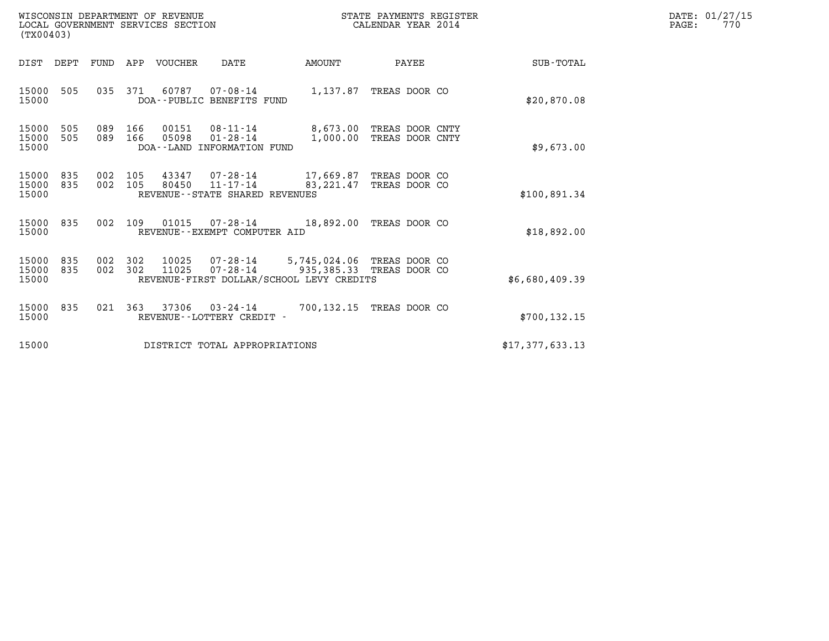| WISCONSIN DEPARTMENT OF REVENUE<br>LOCAL GOVERNMENT SERVICES SECTION<br>(TX00403) | STATE PAYMENTS REGISTER<br>CALENDAR YEAR 2014 | DATE: 01/27/15<br>770<br>PAGE: |
|-----------------------------------------------------------------------------------|-----------------------------------------------|--------------------------------|

| (TX00403)               |            |            |            |                |                                                              |                                                                                                    |                                    |                  |  |
|-------------------------|------------|------------|------------|----------------|--------------------------------------------------------------|----------------------------------------------------------------------------------------------------|------------------------------------|------------------|--|
| DIST                    | DEPT       | FUND       | APP        | <b>VOUCHER</b> | DATE                                                         | AMOUNT                                                                                             | PAYEE                              | <b>SUB-TOTAL</b> |  |
| 15000<br>15000          | 505        | 035        | 371        | 60787          | 07-08-14<br>DOA--PUBLIC BENEFITS FUND                        |                                                                                                    | 1,137.87 TREAS DOOR CO             | \$20,870.08      |  |
| 15000<br>15000<br>15000 | 505<br>505 | 089<br>089 | 166<br>166 | 00151<br>05098 | 08-11-14<br>$01 - 28 - 14$<br>DOA--LAND INFORMATION FUND     | 8,673.00<br>1,000.00                                                                               | TREAS DOOR CNTY<br>TREAS DOOR CNTY | \$9,673.00       |  |
| 15000<br>15000<br>15000 | 835<br>835 | 002<br>002 | 105<br>105 | 43347<br>80450 | 07-28-14<br>$11 - 17 - 14$<br>REVENUE--STATE SHARED REVENUES | 17,669.87<br>83,221.47                                                                             | TREAS DOOR CO<br>TREAS DOOR CO     | \$100,891.34     |  |
| 15000<br>15000          | 835        | 002        | 109        | 01015          | 07-28-14<br>REVENUE - - EXEMPT COMPUTER AID                  | 18,892.00                                                                                          | TREAS DOOR CO                      | \$18,892.00      |  |
| 15000<br>15000<br>15000 | 835<br>835 | 002<br>002 | 302<br>302 | 10025<br>11025 | 07-28-14<br>$07 - 28 - 14$                                   | 5,745,024.06 TREAS DOOR CO<br>935,385.33 TREAS DOOR CO<br>REVENUE-FIRST DOLLAR/SCHOOL LEVY CREDITS |                                    | \$6,680,409.39   |  |
| 15000<br>15000          | 835        | 021        | 363        | 37306          | $03 - 24 - 14$<br>REVENUE - - LOTTERY CREDIT -               | 700,132.15                                                                                         | TREAS DOOR CO                      | \$700, 132.15    |  |
| 15000                   |            |            |            |                | DISTRICT TOTAL APPROPRIATIONS                                |                                                                                                    |                                    | \$17,377,633.13  |  |
|                         |            |            |            |                |                                                              |                                                                                                    |                                    |                  |  |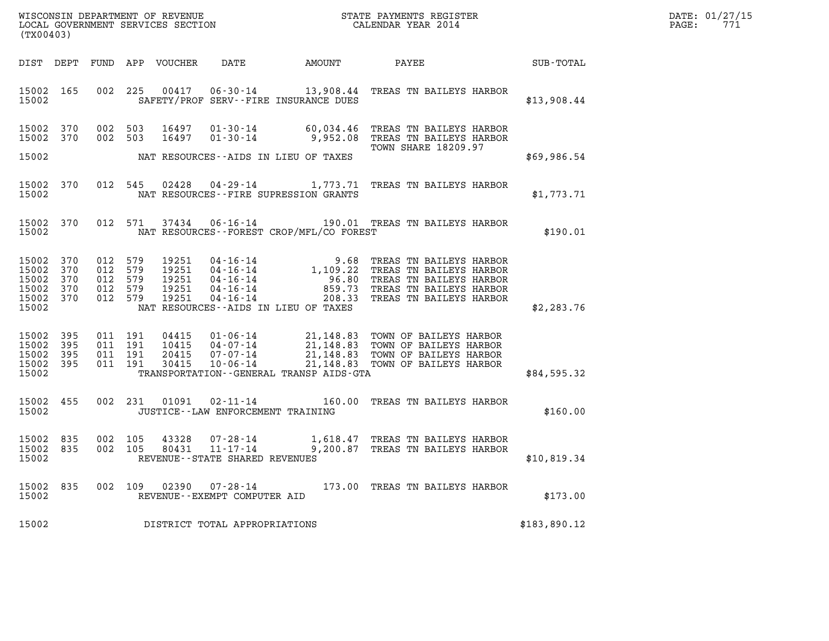|       | DATE: 01/27/15 |
|-------|----------------|
| PAGE: | 771            |

| WISCONSIN DEPARTMENT OF REVENUE<br>LOCAL GOVERNMENT SERVICES SECTION GETA CALENDAR YEAR 2014<br>(TX00403) |            |  |                    |                |                                                |                                             |                                                                                                                                                                                                                                                                                    |                                                                     | DATE: 01/27/15<br>PAGE: 771 |
|-----------------------------------------------------------------------------------------------------------|------------|--|--------------------|----------------|------------------------------------------------|---------------------------------------------|------------------------------------------------------------------------------------------------------------------------------------------------------------------------------------------------------------------------------------------------------------------------------------|---------------------------------------------------------------------|-----------------------------|
|                                                                                                           |            |  |                    |                |                                                |                                             | DIST DEPT FUND APP VOUCHER DATE AMOUNT PAYEE PAYEE SUB-TOTAL                                                                                                                                                                                                                       |                                                                     |                             |
| 15002                                                                                                     |            |  |                    |                |                                                |                                             | 15002 165 002 225 00417 06-30-14 13,908.44 TREAS TN BAILEYS HARBOR<br>SAFETY/PROF SERV--FIRE INSURANCE DUES                                                                                                                                                                        | \$13,908.44                                                         |                             |
| 15002 370<br>15002 370                                                                                    |            |  |                    |                |                                                |                                             | 002 503 16497 01-30-14 60,034.46 TREAS TN BAILEYS HARBOR<br>002 503 16497 01-30-14 9,952.08 TREAS TN BAILEYS HARBOR<br>TOWN SHARE 18209.97                                                                                                                                         |                                                                     |                             |
|                                                                                                           |            |  |                    |                |                                                | TOW TO MAT RESOURCES--AIDS IN LIEU OF TAXES |                                                                                                                                                                                                                                                                                    | \$69,986.54                                                         |                             |
|                                                                                                           |            |  |                    |                |                                                | 15002 NAT RESOURCES--FIRE SUPRESSION GRANTS | 15002 370 012 545 02428 04-29-14 1,773.71 TREAS TN BAILEYS HARBOR                                                                                                                                                                                                                  | \$1,773.71                                                          |                             |
|                                                                                                           |            |  |                    |                |                                                |                                             | 15002 370 012 571 37434 06-16-14 190.01 TREAS TN BAILEYS HARBOR<br>15002 775 NAT RESOURCES--FOREST CROP/MFL/CO FOREST                                                                                                                                                              | $\begin{matrix} \texttt{S} & \texttt{HARBOR} \end{matrix}$ \$190.01 |                             |
| 15002 370<br>15002<br>15002<br>15002 370<br>15002 370<br>15002                                            | 370<br>370 |  |                    |                |                                                | NAT RESOURCES--AIDS IN LIEU OF TAXES        | 012 579 19251 04-16-14 9.68 TREAS TN BAILEYS HARBOR<br>012 579 19251 04-16-14 1,109.22 TREAS TN BAILEYS HARBOR<br>012 579 19251 04-16-14 96.80 TREAS TN BAILEYS HARBOR<br>012 579 19251 04-16-14 859.73 TREAS TN BAILEYS HARBOR<br>012                                             | \$2,283.76                                                          |                             |
| 15002 395<br>15002<br>15002 395<br>15002 395<br>15002                                                     | 395        |  |                    |                |                                                |                                             | 011 191 04415 01-06-14 21,148.83 TOWN OF BAILEYS HARBOR<br>011 191 10415 04-07-14 21,148.83 TOWN OF BAILEYS HARBOR<br>011 191 20415 07-07-14 21,148.83 TOWN OF BAILEYS HARBOR<br>011 191 30415 10-06-14 21,148.83 TOWN OF BAILEYS HA<br>TRANSPORTATION - GENERAL TRANSP AIDS - GTA | \$84,595.32                                                         |                             |
|                                                                                                           |            |  |                    |                |                                                |                                             | 15002 455 002 231 01091 02-11-14 160.00 TREAS TN BAILEYS HARBOR<br>15002 JUSTICE--LAW ENFORCEMENT TRAINING                                                                                                                                                                         | \$160.00                                                            |                             |
| 15002 835<br>15002 835<br>15002                                                                           |            |  | 002 105<br>002 105 | 43328<br>80431 | REVENUE - - STATE SHARED REVENUES              |                                             | 07-28-14 1,618.47 TREAS TN BAILEYS HARBOR<br>11-17-14 9,200.87 TREAS TN BAILEYS HARBOR                                                                                                                                                                                             | \$10,819.34                                                         |                             |
| 15002<br>15002                                                                                            | 835        |  |                    | 002 109 02390  | $07 - 28 - 14$<br>REVENUE--EXEMPT COMPUTER AID |                                             | 173.00 TREAS TN BAILEYS HARBOR                                                                                                                                                                                                                                                     | \$173.00                                                            |                             |
| 15002                                                                                                     |            |  |                    |                | DISTRICT TOTAL APPROPRIATIONS                  |                                             |                                                                                                                                                                                                                                                                                    | \$183,890.12                                                        |                             |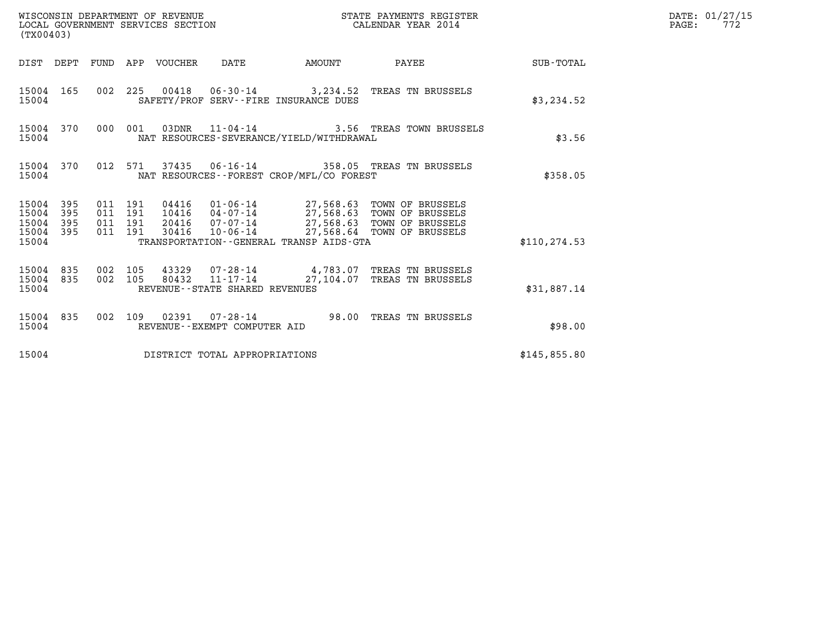| (TX00403)                                                       |                                          | WISCONSIN DEPARTMENT OF REVENUE | WISCONSIN DEPARTMENT OF REVENUE<br>LOCAL GOVERNMENT SERVICES SECTION |        | STATE PAYMENTS REGISTER<br>CALENDAR YEAR 2014                                                                                                                                    |               | DATE: 01/27/15<br>$\mathtt{PAGE:}$<br>772 |
|-----------------------------------------------------------------|------------------------------------------|---------------------------------|----------------------------------------------------------------------|--------|----------------------------------------------------------------------------------------------------------------------------------------------------------------------------------|---------------|-------------------------------------------|
|                                                                 |                                          | DIST DEPT FUND APP VOUCHER DATE |                                                                      | AMOUNT | PAYEE SUB-TOTAL                                                                                                                                                                  |               |                                           |
| 15004 165<br>15004                                              |                                          |                                 | SAFETY/PROF SERV--FIRE INSURANCE DUES                                |        | 002 225 00418 06-30-14 3,234.52 TREAS TN BRUSSELS                                                                                                                                | \$3,234.52    |                                           |
| 15004 370<br>15004                                              |                                          | 000 001                         | NAT RESOURCES-SEVERANCE/YIELD/WITHDRAWAL                             |        | 03DNR 11-04-14 3.56 TREAS TOWN BRUSSELS                                                                                                                                          | \$3.56        |                                           |
| 15004 370<br>15004                                              |                                          |                                 | NAT RESOURCES--FOREST CROP/MFL/CO FOREST                             |        | 012 571 37435 06-16-14 358.05 TREAS TN BRUSSELS                                                                                                                                  | \$358.05      |                                           |
| 15004 395<br>395<br>15004<br>395<br>15004<br>15004 395<br>15004 | 011 191<br>011 191<br>011 191<br>011 191 | 30416                           | TRANSPORTATION--GENERAL TRANSP AIDS-GTA                              |        | 04416  01-06-14  27,568.63 TOWN OF BRUSSELS<br>10416  04-07-14  27,568.63 TOWN OF BRUSSELS<br>20416  07-07-14  27,568.63 TOWN OF BRUSSELS<br>10-06-14 27,568.64 TOWN OF BRUSSELS | \$110, 274.53 |                                           |
| 15004 835<br>15004 835<br>15004                                 | 002 105<br>002 105                       | 80432                           | $11 - 17 - 14$<br>REVENUE--STATE SHARED REVENUES                     |        | 43329 07-28-14 4,783.07 TREAS TN BRUSSELS<br>27,104.07 TREAS TN BRUSSELS                                                                                                         | \$31,887.14   |                                           |
| 15004 835<br>15004                                              |                                          |                                 | REVENUE--EXEMPT COMPUTER AID                                         |        | 002 109 02391 07-28-14 98.00 TREAS TN BRUSSELS                                                                                                                                   | \$98.00       |                                           |
| 15004                                                           |                                          |                                 | DISTRICT TOTAL APPROPRIATIONS                                        |        |                                                                                                                                                                                  | \$145,855.80  |                                           |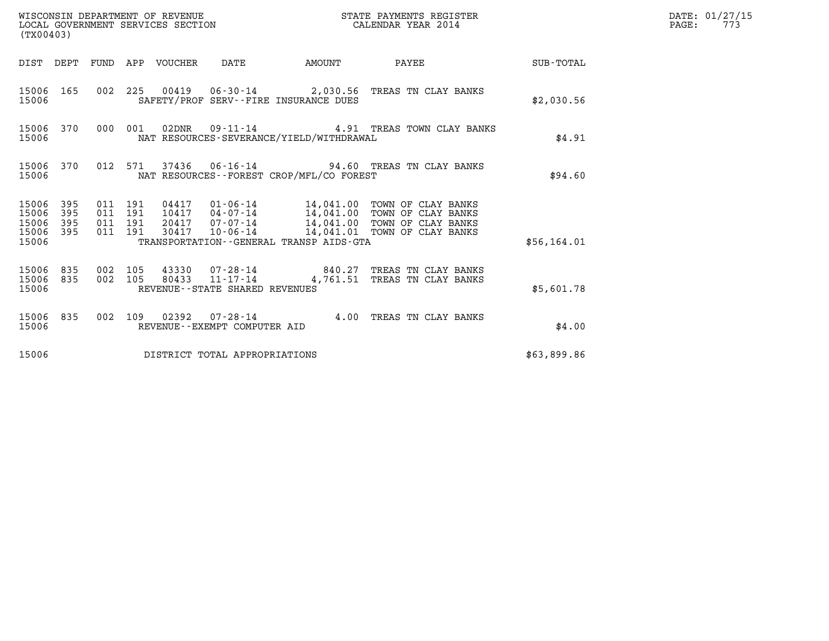| (TX00403)                                                          |                                                                                                                                                                                                                                                                                               | DATE: 01/27/15<br>$\mathtt{PAGE:}$<br>773 |
|--------------------------------------------------------------------|-----------------------------------------------------------------------------------------------------------------------------------------------------------------------------------------------------------------------------------------------------------------------------------------------|-------------------------------------------|
|                                                                    | DIST DEPT FUND APP VOUCHER DATE AMOUNT PAYEE TOTAL                                                                                                                                                                                                                                            |                                           |
| 15006                                                              | 15006 165 002 225 00419 06-30-14 2,030.56 TREAS TN CLAY BANKS<br>SAFETY/PROF SERV--FIRE INSURANCE DUES                                                                                                                                                                                        | \$2,030.56                                |
| 15006                                                              | 15006 370 000 001 02DNR 09-11-14 4.91 TREAS TOWN CLAY BANKS<br>NAT RESOURCES-SEVERANCE/YIELD/WITHDRAWAL                                                                                                                                                                                       | \$4.91                                    |
| 15006                                                              | 15006 370 012 571 37436 06-16-14 94.60 TREAS TN CLAY BANKS<br>NAT RESOURCES - - FOREST CROP/MFL/CO FOREST                                                                                                                                                                                     | \$94.60                                   |
| 15006<br>395<br>395<br>15006<br>395<br>15006<br>15006 395<br>15006 | 04417  01-06-14  14,041.00 TOWN OF CLAY BANKS<br>10417  04-07-14  14,041.00 TOWN OF CLAY BANKS<br>20417  07-07-14  14,041.00 TOWN OF CLAY BANKS<br>011 191<br>011 191<br>011 191<br>10-06-14 14,041.01 TOWN OF CLAY BANKS<br>011 191<br>30417<br>TRANSPORTATION - - GENERAL TRANSP AIDS - GTA | \$56, 164.01                              |
| 15006 835 002 105<br>15006 835<br>15006                            | 002 105 43330 07-28-14 840.27 TREAS TN CLAY BANKS<br>002 105 80433 11-17-14 4,761.51 TREAS TN CLAY BANKS<br>REVENUE--STATE SHARED REVENUES                                                                                                                                                    | \$5,601.78                                |
| 15006                                                              | 15006 835 002 109 02392 07-28-14 4.00 TREAS TN CLAY BANKS<br>REVENUE--EXEMPT COMPUTER AID                                                                                                                                                                                                     | \$4.00                                    |
| 15006                                                              | DISTRICT TOTAL APPROPRIATIONS                                                                                                                                                                                                                                                                 | \$63,899.86                               |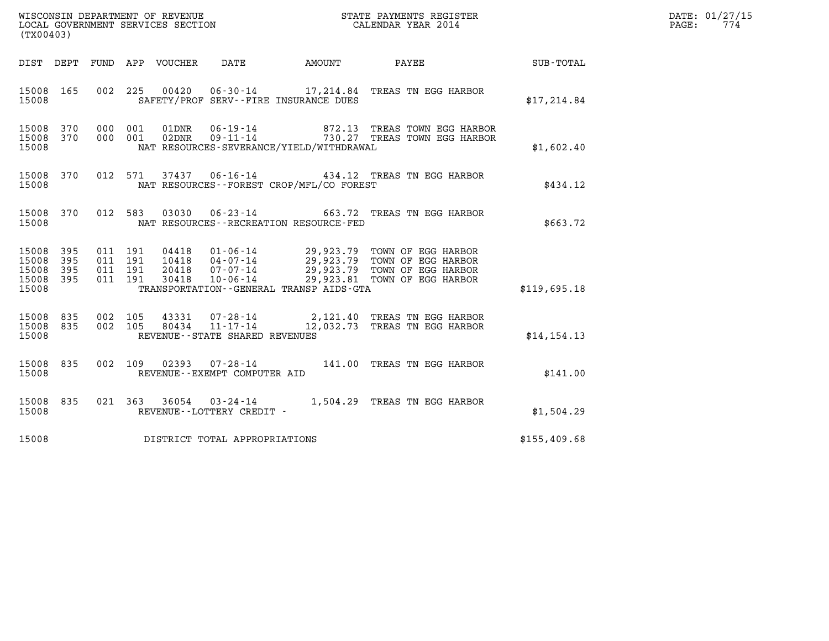| WISCONSIN DEPARTMENT OF REVENUE<br>LOCAL GOVERNMENT SERVICES SECTION<br>$1 - 2 - 0$ | STATE PAYMENTS REGISTER<br>CALENDAR YEAR 2014 | DATE: 01/27/15<br>774<br>PAGE: |
|-------------------------------------------------------------------------------------|-----------------------------------------------|--------------------------------|

| WISCONSIN DEPARTMENT OF REVENUE<br>LOCAL GOVERNMENT SERVICES SECTION<br>(TX00403)                                          |                                                                                                                                                                                                                                                 |                              |                     |              |
|----------------------------------------------------------------------------------------------------------------------------|-------------------------------------------------------------------------------------------------------------------------------------------------------------------------------------------------------------------------------------------------|------------------------------|---------------------|--------------|
| DIST DEPT                                                                                                                  | FUND APP VOUCHER DATE AMOUNT PAYEE SUB-TOTAL                                                                                                                                                                                                    |                              |                     |              |
| 225<br>15008<br>165<br>002<br>15008                                                                                        | 00420  06-30-14  17, 214.84  TREAS TN EGG HARBOR<br>SAFETY/PROF SERV--FIRE INSURANCE DUES                                                                                                                                                       |                              |                     | \$17,214.84  |
| 370<br>000<br>001<br>15008<br>370<br>000 001<br>15008<br>15008                                                             | $\begin{tabular}{llllll} 01\texttt{DNR} & 06-19-14 & & 872.13 & \texttt{TREAS TOWN EGG HARBOR} \\ 02\texttt{DNR} & 09-11-14 & & 730.27 & \texttt{TREAS TOWN EGG HARBOR} \end{tabular}$<br>NAT RESOURCES-SEVERANCE/YIELD/WITHDRAWAL              |                              |                     | \$1,602.40   |
| 15008 370<br>012<br>15008                                                                                                  | NAT RESOURCES - - FOREST CROP/MFL/CO FOREST                                                                                                                                                                                                     |                              |                     | \$434.12     |
| 370<br>012<br>15008<br>583<br>15008                                                                                        | $03030$ $06-23-14$ 663.72<br>NAT RESOURCES - - RECREATION RESOURCE - FED                                                                                                                                                                        |                              | TREAS TN EGG HARBOR | \$663.72     |
| 15008<br>395<br>011<br>191<br>395<br>011<br>191<br>15008<br>011<br>191<br>15008<br>395<br>011 191<br>15008<br>395<br>15008 | 04418  01-06-14  29,923.79  TOWN OF EGG HARBOR<br>10418  04-07-14  29,923.79  TOWN OF EGG HARBOR<br>20418  07-07-14  29,923.79  TOWN OF EGG HARBOR<br>30418  10-06-14  29,923.81  TOWN OF EGG HARBOR<br>TRANSPORTATION--GENERAL TRANSP AIDS-GTA |                              |                     | \$119,695.18 |
| 15008<br>835<br>002 105<br>835<br>002<br>105<br>15008<br>15008                                                             | 07-28-14 2,121.40 TREAS TN EGG HARBOR<br>11-17-14 12,032.73 TREAS TN EGG HARBOR<br>43331<br>80434<br>REVENUE--STATE SHARED REVENUES                                                                                                             |                              |                     | \$14.154.13  |
| 002<br>109<br>15008<br>835<br>15008                                                                                        | 07-28-14 141.00 TREAS TN EGG HARBOR<br>02393<br>REVENUE--EXEMPT COMPUTER AID                                                                                                                                                                    |                              |                     | \$141.00     |
| 021<br>15008<br>835<br>15008                                                                                               | 363 36054 03-24-14<br>REVENUE--LOTTERY CREDIT -                                                                                                                                                                                                 | 1,504.29 TREAS TN EGG HARBOR |                     | \$1,504.29   |
| 15008                                                                                                                      | DISTRICT TOTAL APPROPRIATIONS                                                                                                                                                                                                                   |                              |                     | \$155,409.68 |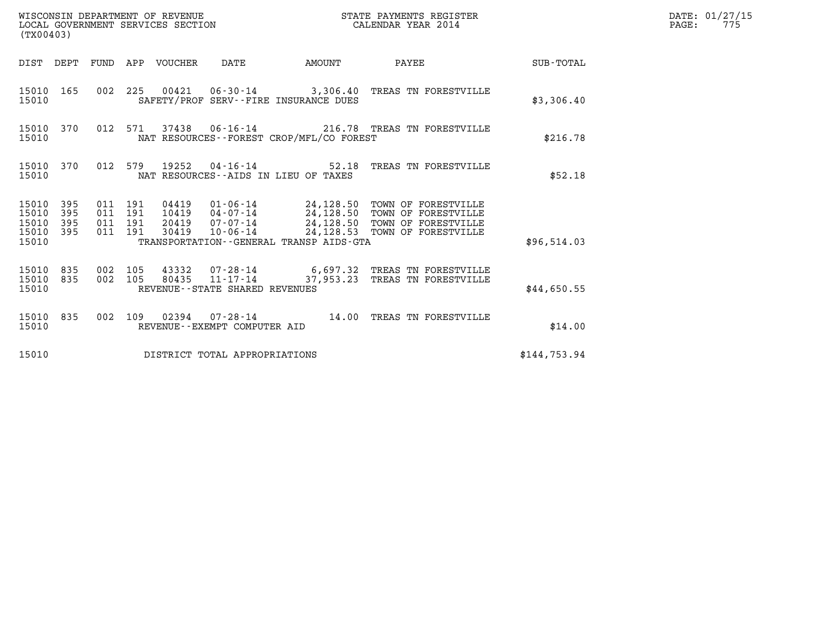| (TX00403)                                 |                          |                                          |                                 | WISCONSIN DEPARTMENT OF REVENUE<br>LOCAL COVERNMENT SERVICES SECTION |                                          | STATE PAYMENTS REGISTER<br>CALENDAR YEAR 2014                                                                                                                                         |              | DATE: 01/27/15<br>$\mathtt{PAGE}$ :<br>775 |
|-------------------------------------------|--------------------------|------------------------------------------|---------------------------------|----------------------------------------------------------------------|------------------------------------------|---------------------------------------------------------------------------------------------------------------------------------------------------------------------------------------|--------------|--------------------------------------------|
|                                           |                          |                                          | DIST DEPT FUND APP VOUCHER DATE |                                                                      | AMOUNT                                   | <b>PAYEE</b>                                                                                                                                                                          | SUB-TOTAL    |                                            |
| 15010 165<br>15010                        |                          |                                          |                                 |                                                                      | SAFETY/PROF SERV--FIRE INSURANCE DUES    | 002 225 00421 06-30-14 3,306.40 TREAS TN FORESTVILLE                                                                                                                                  | \$3,306.40   |                                            |
| 15010                                     | 15010 370                |                                          |                                 |                                                                      | NAT RESOURCES--FOREST CROP/MFL/CO FOREST | 012 571 37438 06-16-14 216.78 TREAS TN FORESTVILLE                                                                                                                                    | \$216.78     |                                            |
| 15010                                     | 15010 370                |                                          |                                 |                                                                      | NAT RESOURCES--AIDS IN LIEU OF TAXES     | 012 579 19252 04-16-14 52.18 TREAS TN FORESTVILLE                                                                                                                                     | \$52.18      |                                            |
| 15010<br>15010<br>15010<br>15010<br>15010 | 395<br>395<br>395<br>395 | 011 191<br>011 191<br>011 191<br>011 191 | 30419                           | $10 - 06 - 14$                                                       | TRANSPORTATION--GENERAL TRANSP AIDS-GTA  | 04419  01-06-14  24,128.50  TOWN OF FORESTVILLE<br>10419  04-07-14  24,128.50  TOWN OF FORESTVILLE<br>20419  07-07-14  24,128.50 TOWN OF FORESTVILLE<br>24,128.53 TOWN OF FORESTVILLE | \$96,514.03  |                                            |
| 15010<br>15010                            | 15010 835<br>835         | 002 105<br>002 105                       |                                 | $80435$ $11 - 17 - 14$<br>REVENUE - - STATE SHARED REVENUES          |                                          | 43332 07-28-14 6,697.32 TREAS TN FORESTVILLE<br>37,953.23 TREAS TN FORESTVILLE                                                                                                        | \$44,650.55  |                                            |
| 15010                                     | 15010 835                |                                          |                                 | REVENUE--EXEMPT COMPUTER AID                                         |                                          | 002 109 02394 07-28-14 14.00 TREAS TN FORESTVILLE                                                                                                                                     | \$14.00      |                                            |
| 15010                                     |                          |                                          |                                 | DISTRICT TOTAL APPROPRIATIONS                                        |                                          |                                                                                                                                                                                       | \$144,753.94 |                                            |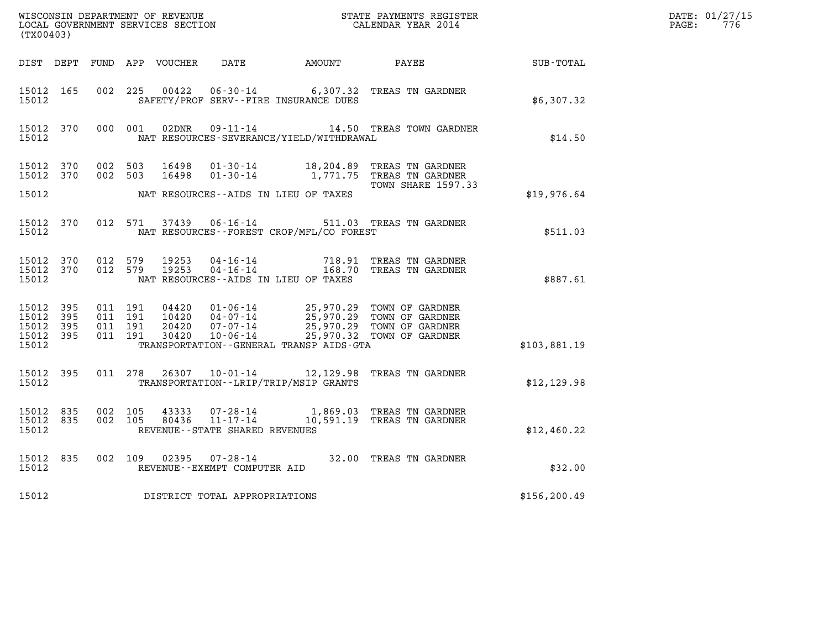| WISCONSIN DEPARTMENT OF REVENUE<br>LOCAL GOVERNMENT SERVICES SECTION<br>CALENDAR YEAR 2014<br>(TX00403) |                        |                    |                               |       |                                   |                                             |                                                                                                                                                                                          |              | DATE: 01/27/15<br>$\mathtt{PAGE:}$<br>776 |
|---------------------------------------------------------------------------------------------------------|------------------------|--------------------|-------------------------------|-------|-----------------------------------|---------------------------------------------|------------------------------------------------------------------------------------------------------------------------------------------------------------------------------------------|--------------|-------------------------------------------|
|                                                                                                         |                        |                    |                               |       |                                   |                                             | DIST DEPT FUND APP VOUCHER DATE AMOUNT PAYEE SUB-TOTAL                                                                                                                                   |              |                                           |
| 15012 165<br>15012                                                                                      |                        | 002 225            |                               |       |                                   | SAFETY/PROF SERV--FIRE INSURANCE DUES       | 00422  06-30-14  6,307.32  TREAS TN GARDNER                                                                                                                                              | \$6,307.32   |                                           |
| 15012                                                                                                   | 15012 370              |                    | 000 001                       | 02DNR |                                   | NAT RESOURCES-SEVERANCE/YIELD/WITHDRAWAL    | 09-11-14 14.50 TREAS TOWN GARDNER                                                                                                                                                        | \$14.50      |                                           |
| 15012 370                                                                                               | 15012 370              |                    | 002 503                       |       |                                   |                                             | 002 503 16498 01-30-14 18,204.89 TREAS TN GARDNER<br><b>TOWN SHARE 1597.33</b>                                                                                                           |              |                                           |
| 15012                                                                                                   |                        |                    |                               |       |                                   | NAT RESOURCES--AIDS IN LIEU OF TAXES        |                                                                                                                                                                                          | \$19,976.64  |                                           |
| 15012 370<br>15012                                                                                      |                        |                    |                               |       |                                   | NAT RESOURCES - - FOREST CROP/MFL/CO FOREST | 012 571 37439 06-16-14 511.03 TREAS TN GARDNER                                                                                                                                           | \$511.03     |                                           |
| 15012                                                                                                   | 15012 370<br>15012 370 |                    |                               |       |                                   | NAT RESOURCES--AIDS IN LIEU OF TAXES        | 012 579 19253 04-16-14 718.91 TREAS TN GARDNER<br>012 579 19253 04-16-14 168.70 TREAS TN GARDNER                                                                                         | \$887.61     |                                           |
| 15012 395<br>15012<br>15012 395<br>15012 395<br>15012                                                   | - 395                  | 011 191            | 011 191<br>011 191<br>011 191 |       |                                   | TRANSPORTATION--GENERAL TRANSP AIDS-GTA     | 04420  01-06-14  25,970.29  TOWN OF GARDNER<br>10420  04-07-14  25,970.29  TOWN OF GARDNER<br>20420  07-07-14  25,970.29  TOWN OF GARDNER<br>30420  10-06-14  25,970.32  TOWN OF GARDNER | \$103,881.19 |                                           |
| 15012 395<br>15012                                                                                      |                        |                    |                               |       |                                   | TRANSPORTATION - - LRIP/TRIP/MSIP GRANTS    | 011 278 26307 10-01-14 12,129.98 TREAS TN GARDNER                                                                                                                                        | \$12, 129.98 |                                           |
| 15012                                                                                                   | 15012 835<br>15012 835 | 002 105<br>002 105 |                               |       | REVENUE - - STATE SHARED REVENUES |                                             | $\begin{tabular}{llllll} 43333 & 07\hbox{-}28\hbox{-}14 & 1,869.03 & \texttt{TREAS TN GARDNER} \\ 80436 & 11\hbox{-}17\hbox{-}14 & 10,591.19 & \texttt{TREAS TN GARDNER} \end{tabular}$  | \$12,460.22  |                                           |
| 15012 835<br>15012                                                                                      |                        |                    |                               |       | REVENUE--EXEMPT COMPUTER AID      |                                             | 002 109 02395 07-28-14 32.00 TREAS TN GARDNER                                                                                                                                            | \$32.00      |                                           |
| 15012                                                                                                   |                        |                    |                               |       | DISTRICT TOTAL APPROPRIATIONS     |                                             |                                                                                                                                                                                          | \$156,200.49 |                                           |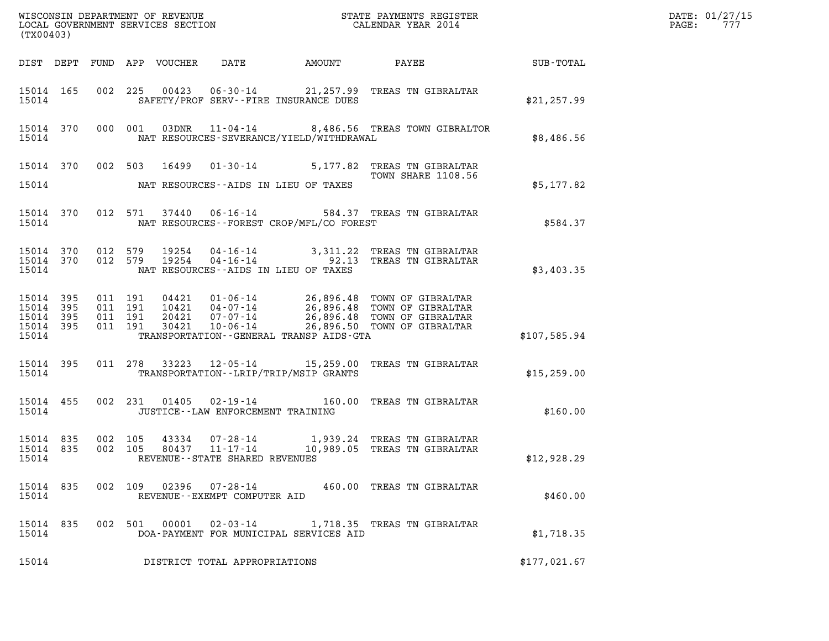|                    |           |  |  |  |                                                |                                                |                                                                                                                                                                                                                                         |              | DATE: 01/27/15<br>PAGE: 777 |
|--------------------|-----------|--|--|--|------------------------------------------------|------------------------------------------------|-----------------------------------------------------------------------------------------------------------------------------------------------------------------------------------------------------------------------------------------|--------------|-----------------------------|
| (TX00403)          |           |  |  |  |                                                |                                                |                                                                                                                                                                                                                                         |              |                             |
|                    |           |  |  |  |                                                |                                                | DIST DEPT FUND APP VOUCHER DATE AMOUNT PAYEE TOTAL                                                                                                                                                                                      |              |                             |
| 15014 165<br>15014 |           |  |  |  | SAFETY/PROF SERV--FIRE INSURANCE DUES          |                                                | 002 225 00423 06-30-14 21,257.99 TREAS TN GIBRALTAR                                                                                                                                                                                     | \$21, 257.99 |                             |
| 15014              |           |  |  |  |                                                | NAT RESOURCES-SEVERANCE/YIELD/WITHDRAWAL       | 15014 370 000 001 03DNR 11-04-14 8,486.56 TREAS TOWN GIBRALTOR                                                                                                                                                                          | \$8,486.56   |                             |
|                    |           |  |  |  |                                                |                                                | 15014 370 002 503 16499 01-30-14 5,177.82 TREAS TN GIBRALTAR                                                                                                                                                                            |              |                             |
| 15014              |           |  |  |  | NAT RESOURCES--AIDS IN LIEU OF TAXES           |                                                | <b>TOWN SHARE 1108.56</b>                                                                                                                                                                                                               | \$5,177.82   |                             |
|                    |           |  |  |  |                                                | 15014 NAT RESOURCES--FOREST CROP/MFL/CO FOREST | 15014 370 012 571 37440 06-16-14 584.37 TREAS TN GIBRALTAR                                                                                                                                                                              | \$584.37     |                             |
| 15014              |           |  |  |  | NAT RESOURCES--AIDS IN LIEU OF TAXES           |                                                | 15014 370 012 579 19254 04-16-14 3,311.22 TREAS TN GIBRALTAR<br>15014 370 012 579 19254 04-16-14 92.13 TREAS TN GIBRALTAR                                                                                                               | \$3,403.35   |                             |
| 15014              |           |  |  |  |                                                | TRANSPORTATION - - GENERAL TRANSP AIDS - GTA   | 15014 395 011 191 04421 01-06-14 26,896.48 TOWN OF GIBRALTAR<br>15014 395 011 191 10421 04-07-14 26,896.48 TOWN OF GIBRALTAR<br>15014 395 011 191 20421 07-07-14 26,896.48 TOWN OF GIBRALTAR<br>15014 395 011 191 30421 10-06-14 26,896 | \$107,585.94 |                             |
|                    | 15014 395 |  |  |  | 15014 TRANSPORTATION - - LRIP/TRIP/MSIP GRANTS |                                                | 011 278 33223 12-05-14 15,259.00 TREAS TN GIBRALTAR                                                                                                                                                                                     | \$15,259.00  |                             |
| 15014              | 15014 455 |  |  |  | JUSTICE--LAW ENFORCEMENT TRAINING              |                                                | 002 231 01405 02-19-14 160.00 TREAS TN GIBRALTAR                                                                                                                                                                                        | \$160.00     |                             |
| 15014              |           |  |  |  | REVENUE--STATE SHARED REVENUES                 |                                                | 15014 835 002 105 43334 07-28-14 1,939.24 TREAS TN GIBRALTAR<br>15014 835 002 105 80437 11-17-14 10,989.05 TREAS TN GIBRALTAR                                                                                                           | \$12,928.29  |                             |
| 15014              | 15014 835 |  |  |  | REVENUE--EXEMPT COMPUTER AID                   |                                                | 002 109 02396 07-28-14 460.00 TREAS TN GIBRALTAR                                                                                                                                                                                        | \$460.00     |                             |

15014 835 002 109 02396 07-28-14 460.00 TREAS TN GIBRALTAR<br>15014 15014 835 002 501 00001 02-03-14 1,718.35 TREAS TN GIBRALTAR<br>15014 DOA-PAYMENT FOR MUNICIPAL SERVICES AID 15014 DOA-PAYMENT FOR MUNICIPAL SERVICES AID \$1,718.35 15014 DOA-PAYMENT FOR MUNICIPAL SERVICES AID \$1,718.35<br>15014 DISTRICT TOTAL APPROPRIATIONS \$177,021.67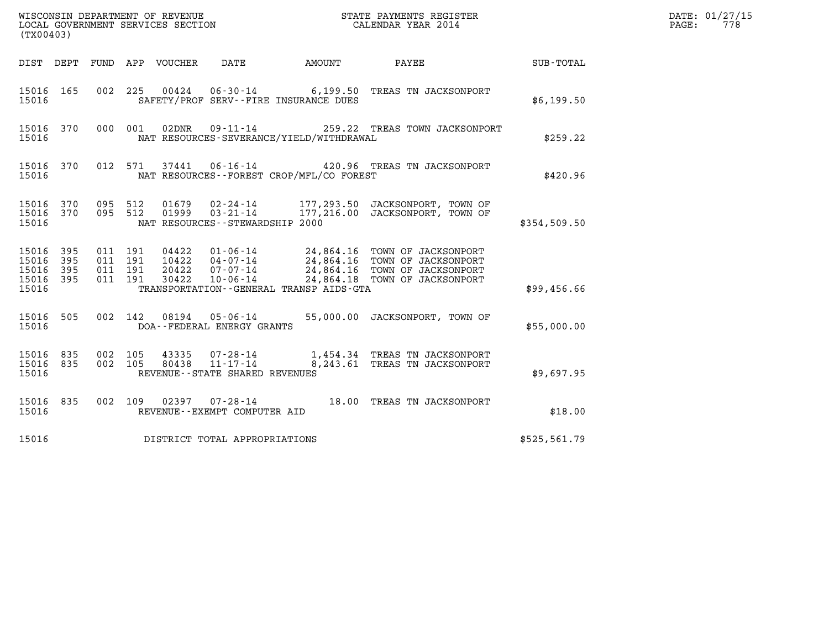| (TX00403)                                 |                          |                                          | WISCONSIN DEPARTMENT OF REVENUE<br>LOCAL GOVERNMENT SERVICES SECTION<br>LOCAL GOVERNMENT SERVICES SECTION |                                             | STATE PAYMENTS REGISTER<br>CALENDAR YEAR 2014                                                                                                      |              | DATE: 01/27/15<br>778<br>PAGE: |
|-------------------------------------------|--------------------------|------------------------------------------|-----------------------------------------------------------------------------------------------------------|---------------------------------------------|----------------------------------------------------------------------------------------------------------------------------------------------------|--------------|--------------------------------|
|                                           |                          |                                          | DIST DEPT FUND APP VOUCHER<br>DATE                                                                        | AMOUNT                                      | PAYEE                                                                                                                                              | SUB-TOTAL    |                                |
| 15016 165<br>15016                        |                          | 002 225                                  | $00424$ $06 - 30 - 14$<br>SAFETY/PROF SERV--FIRE INSURANCE DUES                                           |                                             | 6,199.50 TREAS TN JACKSONPORT                                                                                                                      | \$6,199.50   |                                |
| 15016 370<br>15016                        |                          | 000 001                                  | 02DNR<br>09-11-14                                                                                         | NAT RESOURCES-SEVERANCE/YIELD/WITHDRAWAL    | 259.22 TREAS TOWN JACKSONPORT                                                                                                                      | \$259.22     |                                |
| 15016 370<br>15016                        |                          |                                          | 012 571<br>37441                                                                                          | NAT RESOURCES - - FOREST CROP/MFL/CO FOREST | 06-16-14 420.96 TREAS TN JACKSONPORT                                                                                                               | \$420.96     |                                |
| 15016 370<br>15016 370<br>15016           |                          | 095 512<br>095 512                       | 01679<br>02-24-14<br>01999<br>$03 - 21 - 14$<br>NAT RESOURCES - - STEWARDSHIP 2000                        |                                             | 177,293.50 JACKSONPORT, TOWN OF<br>177,216.00 JACKSONPORT, TOWN OF                                                                                 | \$354,509.50 |                                |
| 15016<br>15016<br>15016<br>15016<br>15016 | 395<br>395<br>395<br>395 | 011 191<br>011 191<br>011 191<br>011 191 | 04422<br>10422<br>20422<br>$07 - 07 - 14$<br>$10 - 06 - 14$<br>30422                                      | TRANSPORTATION--GENERAL TRANSP AIDS-GTA     | 01-06-14 24,864.16 TOWN OF JACKSONPORT<br>04-07-14 24,864.16 TOWN OF JACKSONPORT<br>24,864.16 TOWN OF JACKSONPORT<br>24,864.18 TOWN OF JACKSONPORT | \$99,456.66  |                                |
| 15016 505<br>15016                        |                          | 002 142                                  | 08194<br>05-06-14<br>DOA--FEDERAL ENERGY GRANTS                                                           |                                             | 55,000.00 JACKSONPORT, TOWN OF                                                                                                                     | \$55,000.00  |                                |
| 15016 835<br>15016 835<br>15016           |                          | 002 105<br>002 105                       | 43335<br>07-28-14<br>$11 - 17 - 14$<br>80438<br>REVENUE - - STATE SHARED REVENUES                         |                                             | 1,454.34 TREAS TN JACKSONPORT<br>8,243.61 TREAS TN JACKSONPORT                                                                                     | \$9,697.95   |                                |
| 15016 835<br>15016                        |                          | 002 109                                  | 02397<br>07-28-14<br>REVENUE--EXEMPT COMPUTER AID                                                         |                                             | 18.00 TREAS TN JACKSONPORT                                                                                                                         | \$18.00      |                                |
| 15016                                     |                          |                                          | DISTRICT TOTAL APPROPRIATIONS                                                                             |                                             |                                                                                                                                                    | \$525,561.79 |                                |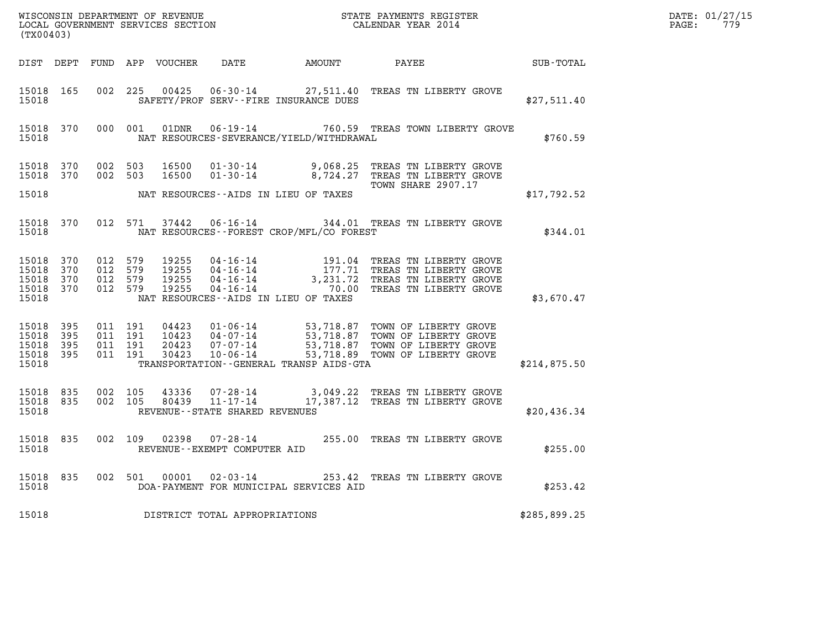| (TX00403)                                    |                    |                                          |  |  |                                   |                                              |                                                                                                                                                                                                                  |              | DATE: 01/27/15<br>$\mathtt{PAGE:}$<br>779 |
|----------------------------------------------|--------------------|------------------------------------------|--|--|-----------------------------------|----------------------------------------------|------------------------------------------------------------------------------------------------------------------------------------------------------------------------------------------------------------------|--------------|-------------------------------------------|
|                                              |                    |                                          |  |  |                                   |                                              | DIST DEPT FUND APP VOUCHER DATE AMOUNT PAYEE                                                                                                                                                                     | SUB-TOTAL    |                                           |
| 15018                                        | 15018 165          |                                          |  |  |                                   | SAFETY/PROF SERV--FIRE INSURANCE DUES        | 002 225 00425 06-30-14 27,511.40 TREAS TN LIBERTY GROVE                                                                                                                                                          | \$27,511.40  |                                           |
| 15018                                        |                    |                                          |  |  |                                   | NAT RESOURCES-SEVERANCE/YIELD/WITHDRAWAL     | 15018 370 000 001 01DNR 06-19-14 760.59 TREAS TOWN LIBERTY GROVE                                                                                                                                                 | \$760.59     |                                           |
|                                              |                    |                                          |  |  |                                   |                                              | 15018 370 002 503 16500 01-30-14 9,068.25 TREAS TN LIBERTY GROVE 15018 370 002 503 16500 01-30-14 8,724.27 TREAS TN LIBERTY GROVE                                                                                |              |                                           |
| 15018                                        |                    |                                          |  |  |                                   | NAT RESOURCES--AIDS IN LIEU OF TAXES         | <b>TOWN SHARE 2907.17</b>                                                                                                                                                                                        | \$17,792.52  |                                           |
|                                              | 15018              |                                          |  |  |                                   | NAT RESOURCES - - FOREST CROP/MFL/CO FOREST  | 15018 370 012 571 37442 06-16-14 344.01 TREAS TN LIBERTY GROVE                                                                                                                                                   | \$344.01     |                                           |
| 15018 370<br>15018 370<br>15018 370<br>15018 | 15018 370          | 012 579<br>012 579<br>012 579<br>012 579 |  |  |                                   | NAT RESOURCES--AIDS IN LIEU OF TAXES         | 19255  04-16-14   191.04 TREAS TN LIBERTY GROVE<br>19255  04-16-14   177.71 TREAS TN LIBERTY GROVE<br>19255  04-16-14   3,231.72 TREAS TN LIBERTY GROVE<br>19255  04-16-14   70.00 TREAS TN LIBERTY GROVE        | \$3,670.47   |                                           |
| 15018 395<br>15018<br>15018 395<br>15018     | - 395<br>15018 395 | 011 191<br>011 191<br>011 191<br>011 191 |  |  |                                   | TRANSPORTATION - - GENERAL TRANSP AIDS - GTA | 04423  01-06-14  53,718.87  TOWN OF LIBERTY GROVE<br>10423  04-07-14  53,718.87  TOWN OF LIBERTY GROVE<br>20423  07-07-14  53,718.87  TOWN OF LIBERTY GROVE<br>30423  10-06-14  53,718.89  TOWN OF LIBERTY GROVE | \$214,875.50 |                                           |
| 15018 835<br>15018 835<br>15018              |                    | 002 105<br>002 105                       |  |  | REVENUE - - STATE SHARED REVENUES |                                              | $\begin{array}{lllll}43336 & 07\text{-}28\text{-}14 & 3,049.22 & \text{TREAS TN LIBERTY GROVE} \\ 80439 & 11\text{-}17\text{-}14 & 17,387.12 & \text{TREAS TN LIBERTY GROVE} \end{array}$                        | \$20,436.34  |                                           |
| 15018                                        | 15018 835          |                                          |  |  | REVENUE--EXEMPT COMPUTER AID      |                                              | 002 109 02398 07-28-14 255.00 TREAS TN LIBERTY GROVE                                                                                                                                                             | \$255.00     |                                           |
| 15018                                        | 15018 835          |                                          |  |  |                                   | DOA-PAYMENT FOR MUNICIPAL SERVICES AID       | 002 501 00001 02-03-14 253.42 TREAS TN LIBERTY GROVE                                                                                                                                                             | \$253.42     |                                           |
| 15018                                        |                    |                                          |  |  | DISTRICT TOTAL APPROPRIATIONS     |                                              |                                                                                                                                                                                                                  | \$285,899.25 |                                           |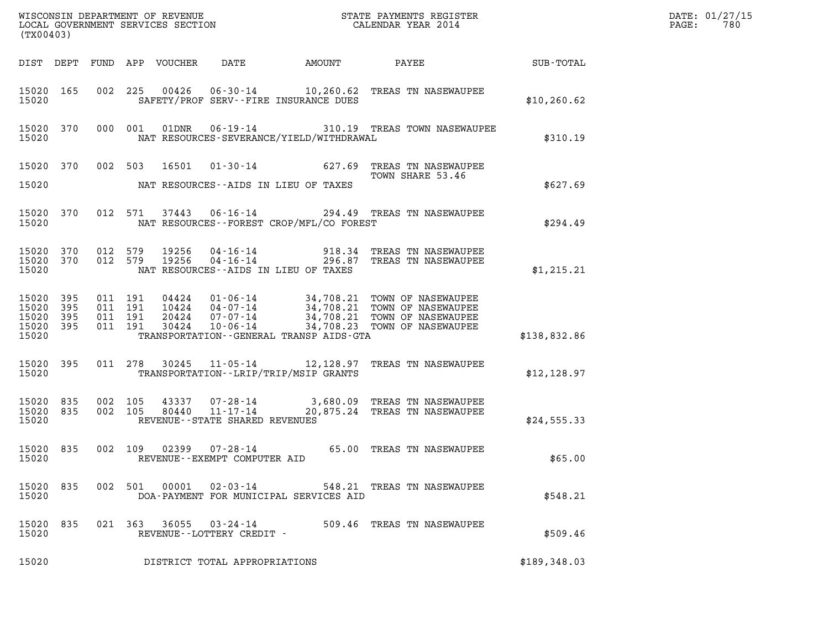|       | DATE: 01/27/15 |
|-------|----------------|
| PAGE: | 780            |

| %WISCONSIN DEPARTMENT OF REVENUE $$\tt STATE$ PAYMENTS REGISTER LOCAL GOVERNMENT SERVICES SECTION $$\tt CALENDAR$ YEAR 2014<br>(TX00403) |     |                               |         |                                 |                                                          |                                                                                                                                                                                                                                                                                        |              | DATE: 01/27/15<br>$\mathtt{PAGE}$ :<br>780 |
|------------------------------------------------------------------------------------------------------------------------------------------|-----|-------------------------------|---------|---------------------------------|----------------------------------------------------------|----------------------------------------------------------------------------------------------------------------------------------------------------------------------------------------------------------------------------------------------------------------------------------------|--------------|--------------------------------------------|
|                                                                                                                                          |     |                               |         | DIST DEPT FUND APP VOUCHER DATE |                                                          | AMOUNT PAYEE SUB-TOTAL                                                                                                                                                                                                                                                                 |              |                                            |
| 15020 165<br>15020                                                                                                                       |     |                               |         |                                 | SAFETY/PROF SERV--FIRE INSURANCE DUES                    | 002 225 00426 06-30-14 10,260.62 TREAS TN NASEWAUPEE                                                                                                                                                                                                                                   | \$10, 260.62 |                                            |
| 15020                                                                                                                                    |     |                               |         |                                 | NAT RESOURCES-SEVERANCE/YIELD/WITHDRAWAL                 | 15020 370 000 001 01DNR 06-19-14 310.19 TREAS TOWN NASEWAUPEE                                                                                                                                                                                                                          | \$310.19     |                                            |
| 15020                                                                                                                                    |     |                               |         |                                 | NAT RESOURCES--AIDS IN LIEU OF TAXES                     | 15020 370 002 503 16501 01-30-14 627.69 TREAS TN NASEWAUPEE                                                                                                                                                                                                                            | \$627.69     |                                            |
| 15020 370<br>15020                                                                                                                       |     |                               |         |                                 | NAT RESOURCES - - FOREST CROP/MFL/CO FOREST              | 012 571 37443 06-16-14 294.49 TREAS TN NASEWAUPEE                                                                                                                                                                                                                                      | \$294.49     |                                            |
| 15020                                                                                                                                    |     |                               |         |                                 | NAT RESOURCES--AIDS IN LIEU OF TAXES                     | $15020$ 370 012 579 19256 04-16-14 918.34 TREAS TN NASEWAUPEE<br>15020 370 012 579 19256 04-16-14 296.87 TREAS TN NASEWAUPEE                                                                                                                                                           | \$1,215.21   |                                            |
| 15020 395<br>15020<br>15020 395<br>15020 395<br>15020                                                                                    | 395 | 011 191<br>011 191<br>011 191 | 011 191 |                                 | TRANSPORTATION--GENERAL TRANSP AIDS-GTA                  | $\begin{tabular}{c c c c c c c c c c} \hline 04424 & 01-06-14 & 34,708.21 & TOWN OF NASEWAUPEE \\ 10424 & 04-07-14 & 34,708.21 & TOWN OF NASEWAUPEE \\ 20424 & 07-07-14 & 34,708.21 & TOWN OF NASEWAUPEE \\ 30424 & 10-06-14 & 34,708.23 & TOWN OF NASEWAUPEE \\ \hline \end{tabular}$ | \$138,832.86 |                                            |
| 15020                                                                                                                                    |     |                               |         |                                 | TRANSPORTATION--LRIP/TRIP/MSIP GRANTS                    | 15020 395 011 278 30245 11-05-14 12,128.97 TREAS TN NASEWAUPEE                                                                                                                                                                                                                         | \$12,128.97  |                                            |
| 15020 835<br>15020                                                                                                                       |     | 002 105<br>15020 835 002 105  |         |                                 | REVENUE--STATE SHARED REVENUES                           | $\begin{array}{cccc} 43337 & 07\text{-}28\text{-}14 & 3,680.09 & \text{TREAS TN NASEWAUPEE} \\ 80440 & 11\text{-}17\text{-}14 & 20,875.24 & \text{TREAS TN NASEWAUPEE} \end{array}$                                                                                                    | \$24,555.33  |                                            |
| 15020                                                                                                                                    |     |                               |         |                                 | REVENUE--EXEMPT COMPUTER AID                             | 15020 835 002 109 02399 07-28-14 65.00 TREAS TN NASEWAUPEE                                                                                                                                                                                                                             | \$65.00      |                                            |
| 15020 835<br>15020                                                                                                                       |     |                               | 002 501 | 00001                           | $02 - 03 - 14$<br>DOA-PAYMENT FOR MUNICIPAL SERVICES AID | 548.21 TREAS TN NASEWAUPEE                                                                                                                                                                                                                                                             | \$548.21     |                                            |
| 15020 835<br>15020                                                                                                                       |     |                               |         | 021 363 36055                   | 03-24-14<br>REVENUE--LOTTERY CREDIT -                    | 509.46 TREAS TN NASEWAUPEE                                                                                                                                                                                                                                                             | \$509.46     |                                            |
| 15020                                                                                                                                    |     |                               |         |                                 | DISTRICT TOTAL APPROPRIATIONS                            |                                                                                                                                                                                                                                                                                        | \$189,348.03 |                                            |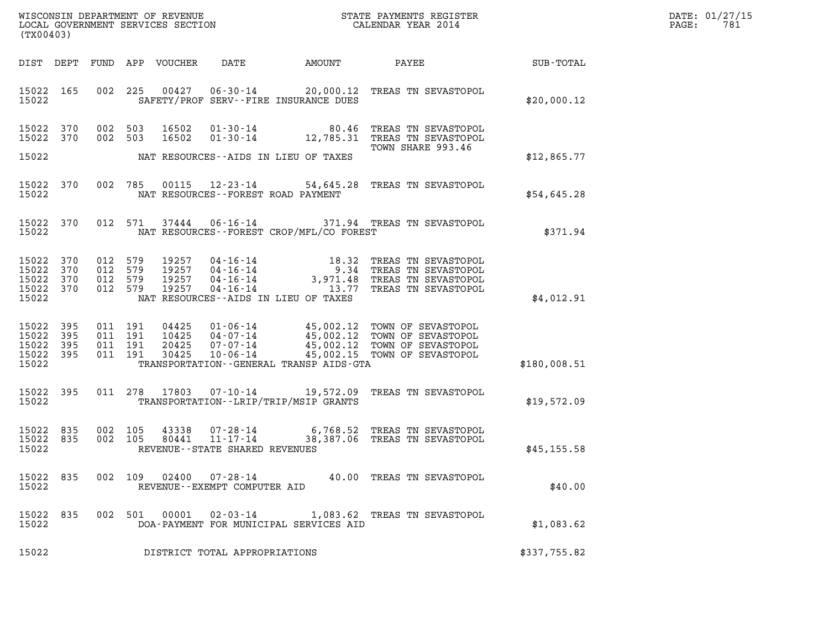| $\mathtt{DATE}$ : | 01/27/15 |
|-------------------|----------|
| PAGE:             | 781      |

| (TX00403)                                             |            |                               |                    |                  |                                             |                                             |                                                                                                                                                                                        |              | DATE: 01/27/15<br>781<br>PAGE: |
|-------------------------------------------------------|------------|-------------------------------|--------------------|------------------|---------------------------------------------|---------------------------------------------|----------------------------------------------------------------------------------------------------------------------------------------------------------------------------------------|--------------|--------------------------------|
| DIST DEPT                                             |            |                               |                    | FUND APP VOUCHER | DATE                                        | AMOUNT                                      | PAYEE SUB-TOTAL                                                                                                                                                                        |              |                                |
| 15022 165<br>15022                                    |            |                               |                    |                  |                                             | SAFETY/PROF SERV--FIRE INSURANCE DUES       | 002 225 00427 06-30-14 20,000.12 TREAS TN SEVASTOPOL                                                                                                                                   | \$20,000.12  |                                |
| 15022 370<br>15022 370                                |            | 002 503<br>002 503            |                    | 16502<br>16502   |                                             |                                             | 01-30-14 80.46 TREAS TN SEVASTOPOL<br>01-30-14 12,785.31 TREAS TN SEVASTOPOL<br>TOWN SHARE 993.46                                                                                      |              |                                |
| 15022                                                 |            |                               |                    |                  |                                             | NAT RESOURCES--AIDS IN LIEU OF TAXES        |                                                                                                                                                                                        | \$12,865.77  |                                |
| 15022 370<br>15022                                    |            |                               |                    |                  |                                             | NAT RESOURCES - - FOREST ROAD PAYMENT       | 002 785 00115 12-23-14 54,645.28 TREAS TN SEVASTOPOL                                                                                                                                   | \$54,645.28  |                                |
| 15022 370<br>15022                                    |            |                               |                    | 012 571 37444    |                                             | NAT RESOURCES - - FOREST CROP/MFL/CO FOREST | 06-16-14 371.94 TREAS TN SEVASTOPOL                                                                                                                                                    | \$371.94     |                                |
| 15022 370<br>15022<br>15022 370<br>15022 370<br>15022 | 370        | 012 579<br>012 579<br>012 579 | 012 579            |                  |                                             | NAT RESOURCES--AIDS IN LIEU OF TAXES        | 19257  04-16-14  18.32 TREAS TN SEVASTOPOL<br>19257  04-16-14  9.34 TREAS TN SEVASTOPOL<br>19257  04-16-14  3,971.48 TREAS TN SEVASTOPOL<br>19257  04-16-14  13.77 TREAS TN SEVASTOPOL | \$4,012.91   |                                |
| 15022<br>15022<br>15022 395<br>15022 395<br>15022     | 395<br>395 | 011 191<br>011 191<br>011 191 | 011 191            | 30425            | $10 - 06 - 14$                              | TRANSPORTATION--GENERAL TRANSP AIDS-GTA     | 04425  01-06-14  45,002.12  TOWN OF SEVASTOPOL<br>10425  04-07-14  45,002.12  TOWN OF SEVASTOPOL<br>20425  07-07-14  45,002.12  TOWN OF SEVASTOPOL<br>45,002.15 TOWN OF SEVASTOPOL     | \$180,008.51 |                                |
| 15022 395<br>15022                                    |            |                               |                    |                  |                                             | TRANSPORTATION--LRIP/TRIP/MSIP GRANTS       | 011 278 17803 07-10-14 19,572.09 TREAS TN SEVASTOPOL                                                                                                                                   | \$19,572.09  |                                |
| 15022 835<br>15022<br>15022                           | 835        |                               | 002 105<br>002 105 |                  | REVENUE--STATE SHARED REVENUES              |                                             | 43338  07-28-14  6,768.52  TREAS TN SEVASTOPOL<br>80441  11-17-14  38,387.06  TREAS TN SEVASTOPOL                                                                                      | \$45, 155.58 |                                |
| 15022<br>15022                                        | 835        |                               | 002 109            | 02400            | 07-28-14<br>REVENUE - - EXEMPT COMPUTER AID |                                             | 40.00 TREAS TN SEVASTOPOL                                                                                                                                                              | \$40.00      |                                |
| 15022<br>15022                                        | 835        |                               | 002 501            | 00001            | $02 - 03 - 14$                              | DOA-PAYMENT FOR MUNICIPAL SERVICES AID      | 1,083.62 TREAS TN SEVASTOPOL                                                                                                                                                           | \$1,083.62   |                                |
| 15022                                                 |            |                               |                    |                  | DISTRICT TOTAL APPROPRIATIONS               |                                             |                                                                                                                                                                                        | \$337,755.82 |                                |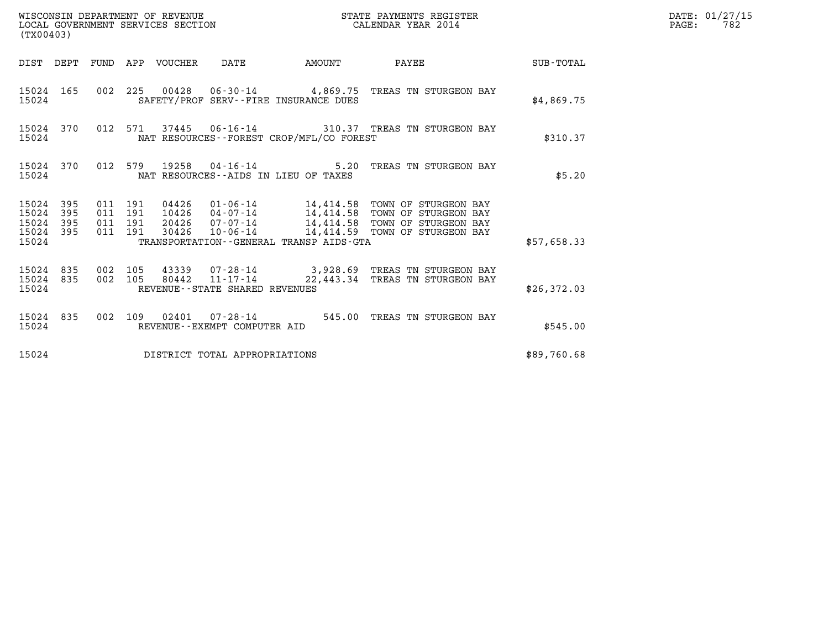| (TX00403)                                                                                                   |                                                                                                                                                                                                                                                        |                                 |             | DATE: 01/27/15<br>$\mathtt{PAGE:}$<br>782 |
|-------------------------------------------------------------------------------------------------------------|--------------------------------------------------------------------------------------------------------------------------------------------------------------------------------------------------------------------------------------------------------|---------------------------------|-------------|-------------------------------------------|
|                                                                                                             | DIST DEPT FUND APP VOUCHER DATE<br>AMOUNT                                                                                                                                                                                                              | PAYEE SUB-TOTAL                 |             |                                           |
| 15024 165<br>15024                                                                                          | 002 225 00428 06-30-14 4,869.75 TREAS TN STURGEON BAY<br>SAFETY/PROF SERV--FIRE INSURANCE DUES                                                                                                                                                         |                                 | \$4,869.75  |                                           |
| 15024 370<br>15024                                                                                          | 012 571 37445 06-16-14 310.37 TREAS TN STURGEON BAY<br>NAT RESOURCES - - FOREST CROP/MFL/CO FOREST                                                                                                                                                     |                                 | \$310.37    |                                           |
| 15024 370<br>15024                                                                                          | 012 579 19258 04-16-14<br>NAT RESOURCES--AIDS IN LIEU OF TAXES                                                                                                                                                                                         | 5.20 TREAS TN STURGEON BAY      | \$5.20      |                                           |
| 395<br>15024<br>011 191<br>15024<br>395<br>011 191<br>15024 395<br>011 191<br>15024 395<br>011 191<br>15024 | 04426  01-06-14  14,414.58  TOWN OF STURGEON BAY<br>10426  04-07-14  14,414.58  TOWN OF STURGEON BAY<br>20426  07-07-14  14,414.58 TOWN OF STURGEON BAY<br>30426  10-06-14  14,414.59  TOWN OF STURGEON BAY<br>TRANSPORTATION--GENERAL TRANSP AIDS-GTA |                                 | \$57,658.33 |                                           |
| 15024 835<br>002 105<br>15024 835<br>002 105<br>15024                                                       | 43339  07-28-14  3,928.69  TREAS TN STURGEON BAY<br>$80442$ $11 - 17 - 14$<br>REVENUE--STATE SHARED REVENUES                                                                                                                                           | 22,443.34 TREAS TN STURGEON BAY | \$26,372.03 |                                           |
| 15024 835<br>15024                                                                                          | 002 109 02401 07-28-14 545.00 TREAS TN STURGEON BAY<br>REVENUE--EXEMPT COMPUTER AID                                                                                                                                                                    |                                 | \$545.00    |                                           |
| 15024                                                                                                       | DISTRICT TOTAL APPROPRIATIONS                                                                                                                                                                                                                          |                                 | \$89,760.68 |                                           |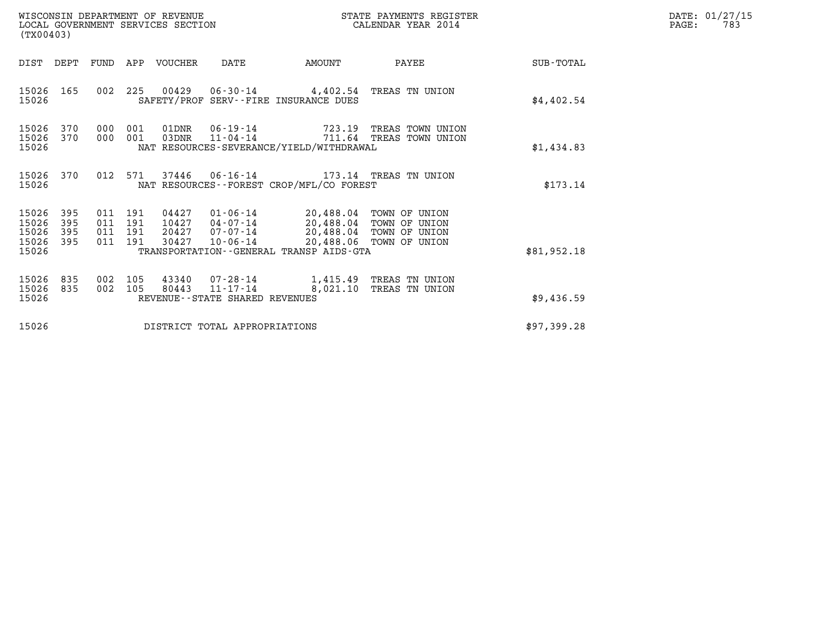| WISCONSIN DEPARTMENT OF REVENUE<br>LOCAL GOVERNMENT SERVICES SECTION<br>(TX00403)                                                                                                                                                          | STATE PAYMENTS REGISTER<br>CALENDAR YEAR 2014                                                                     |             | DATE: 01/27/15<br>PAGE:<br>783 |
|--------------------------------------------------------------------------------------------------------------------------------------------------------------------------------------------------------------------------------------------|-------------------------------------------------------------------------------------------------------------------|-------------|--------------------------------|
| DIST DEPT<br>FUND APP VOUCHER<br>DATE                                                                                                                                                                                                      | AMOUNT<br>PAYEE                                                                                                   | SUB-TOTAL   |                                |
| 15026<br>165<br>002<br>15026<br>SAFETY/PROF SERV--FIRE INSURANCE DUES                                                                                                                                                                      | 225  00429  06-30-14  4,402.54  TREAS TN UNION                                                                    | \$4,402.54  |                                |
| 15026<br>370<br>000<br>001<br>03DNR<br>15026<br>370<br>001<br>000<br>15026<br>NAT RESOURCES-SEVERANCE/YIELD/WITHDRAWAL                                                                                                                     | 11-04-14 711.64 TREAS TOWN UNION                                                                                  | \$1,434.83  |                                |
| 15026<br>370<br>012<br>NAT RESOURCES--FOREST CROP/MFL/CO FOREST<br>15026                                                                                                                                                                   | 571 37446 06-16-14 173.14 TREAS TN UNION                                                                          | \$173.14    |                                |
| 15026<br>395<br>011 191<br>04427<br>15026<br>011 191<br>395<br>10427<br>04-07-14<br>15026<br>395<br>011 191<br>20427<br>07-07-14<br>15026<br>395<br>011 191<br>30427<br>$10 - 06 - 14$<br>15026<br>TRANSPORTATION--GENERAL TRANSP AIDS-GTA | 01-06-14 20,488.04 TOWN OF UNION<br>20,488.04 TOWN OF UNION<br>20,488.04 TOWN OF UNION<br>20,488.06 TOWN OF UNION | \$81,952.18 |                                |
| 15026<br>835<br>002<br>105<br>43340 07-28-14<br>15026<br>835<br>002<br>105<br>80443<br>11-17-14<br>15026<br>REVENUE--STATE SHARED REVENUES                                                                                                 | 1,415.49 TREAS TN UNION<br>8,021.10<br>TREAS TN UNION                                                             | \$9,436.59  |                                |
| 15026<br>DISTRICT TOTAL APPROPRIATIONS                                                                                                                                                                                                     |                                                                                                                   | \$97,399.28 |                                |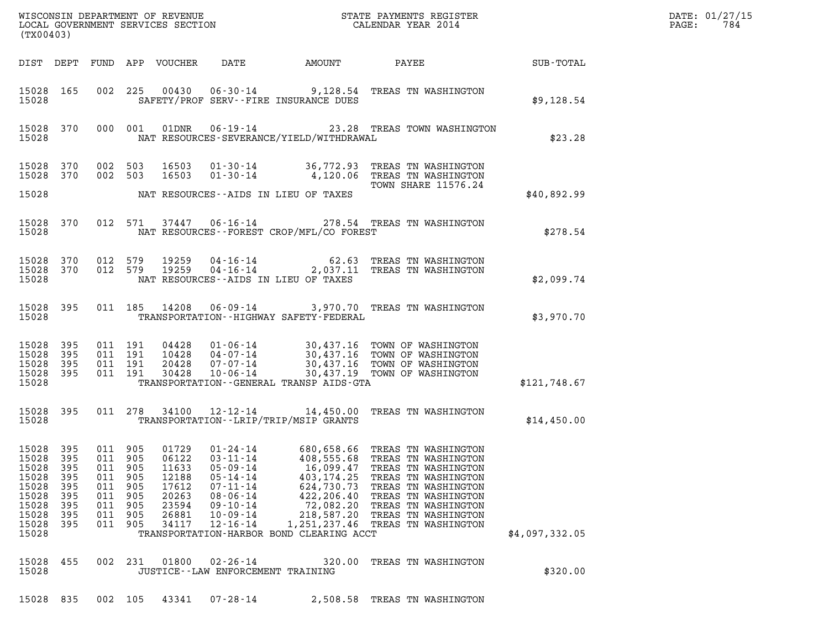| ${\tt WISCOONSIM} \begin{tabular}{lcccc} {\tt NISCOONSIM} \end{tabular} \begin{tabular}{lcccc} {\tt NISCONSIM} \end{tabular} \begin{tabular}{lcccc} {\tt NISCONSIM} \end{tabular} \begin{tabular}{lcccc} {\tt NECONSIM} \end{tabular} \begin{tabular}{lcccc} {\tt NUCAL} \end{tabular} \begin{tabular}{lcccc} {\tt NUCAL} \end{tabular} \end{tabular} \begin{tabular}{lcccc} {\tt NUCAL} \end{tabular} \begin{tabular}{lcccc} {\tt NUCAL} \end{tabular} \end{tabular} \begin{tabular}{lcccc} {\tt NUCAL} \end{tabular} \begin{tabular}{lcccc$<br>(TX00403)                                                                                                                                                                                                                                                                                                                                                           |                | DATE: 01/27/15<br>784<br>PAGE: |
|----------------------------------------------------------------------------------------------------------------------------------------------------------------------------------------------------------------------------------------------------------------------------------------------------------------------------------------------------------------------------------------------------------------------------------------------------------------------------------------------------------------------------------------------------------------------------------------------------------------------------------------------------------------------------------------------------------------------------------------------------------------------------------------------------------------------------------------------------------------------------------------------------------------------|----------------|--------------------------------|
| DATE AMOUNT<br>DIST DEPT FUND APP VOUCHER<br><b>PAYEE</b>                                                                                                                                                                                                                                                                                                                                                                                                                                                                                                                                                                                                                                                                                                                                                                                                                                                            | SUB-TOTAL      |                                |
| 15028 165<br>002 225 00430 06-30-14 9,128.54 TREAS TN WASHINGTON<br>SAFETY/PROF SERV--FIRE INSURANCE DUES<br>15028                                                                                                                                                                                                                                                                                                                                                                                                                                                                                                                                                                                                                                                                                                                                                                                                   | \$9,128.54     |                                |
| 01DNR  06-19-14  23.28 TREAS TOWN WASHINGTON<br>15028 370<br>000 001<br>NAT RESOURCES-SEVERANCE/YIELD/WITHDRAWAL<br>15028                                                                                                                                                                                                                                                                                                                                                                                                                                                                                                                                                                                                                                                                                                                                                                                            | \$23.28        |                                |
| 01-30-14 36,772.93 TREAS TN WASHINGTON<br>15028 370<br>002 503<br>16503<br>4,120.06 TREAS TN WASHINGTON<br>16503<br>15028<br>370<br>002 503<br>$01 - 30 - 14$<br><b>TOWN SHARE 11576.24</b>                                                                                                                                                                                                                                                                                                                                                                                                                                                                                                                                                                                                                                                                                                                          |                |                                |
| 15028<br>NAT RESOURCES--AIDS IN LIEU OF TAXES                                                                                                                                                                                                                                                                                                                                                                                                                                                                                                                                                                                                                                                                                                                                                                                                                                                                        | \$40,892.99    |                                |
| 15028 370<br>012 571 37447<br>06-16-14 278.54 TREAS TN WASHINGTON<br>NAT RESOURCES--FOREST CROP/MFL/CO FOREST<br>15028                                                                                                                                                                                                                                                                                                                                                                                                                                                                                                                                                                                                                                                                                                                                                                                               | \$278.54       |                                |
| 04-16-14 62.63 TREAS TN WASHINGTON<br>04-16-14 2,037.11 TREAS TN WASHINGTON<br>15028 370<br>012 579 19259<br>15028 370<br>012 579<br>19259<br>15028<br>NAT RESOURCES--AIDS IN LIEU OF TAXES                                                                                                                                                                                                                                                                                                                                                                                                                                                                                                                                                                                                                                                                                                                          | \$2,099.74     |                                |
| $06 - 09 - 14$<br>15028 395<br>011 185 14208<br>3,970.70 TREAS TN WASHINGTON<br>15028<br>TRANSPORTATION - - HIGHWAY SAFETY - FEDERAL                                                                                                                                                                                                                                                                                                                                                                                                                                                                                                                                                                                                                                                                                                                                                                                 | \$3,970.70     |                                |
| 01-06-14 30,437.16 TOWN OF WASHINGTON<br>04-07-14 30,437.16 TOWN OF WASHINGTON<br>07-07-14 30,437.16 TOWN OF WASHINGTON<br>10-06-14 30,437.19 TOWN OF WASHINGTON<br>15028<br>395<br>011 191<br>04428<br>15028<br>395<br>011 191<br>10428<br>15028<br>011 191<br>20428<br>-395<br>15028<br>395<br>011 191<br>30428<br>15028<br>TRANSPORTATION--GENERAL TRANSP AIDS-GTA                                                                                                                                                                                                                                                                                                                                                                                                                                                                                                                                                | \$121,748.67   |                                |
| 15028 395<br>011 278 34100<br>12-12-14 14,450.00 TREAS TN WASHINGTON<br>15028<br>TRANSPORTATION - - LRIP/TRIP/MSIP GRANTS                                                                                                                                                                                                                                                                                                                                                                                                                                                                                                                                                                                                                                                                                                                                                                                            | \$14,450.00    |                                |
| 15028 395<br>011 905<br>01729<br>$01 - 24 - 14$<br>680,658.66 TREAS TN WASHINGTON<br>15028<br>395<br>011<br>905<br>06122<br>$03 - 11 - 14$<br>408,555.68<br>TREAS TN WASHINGTON<br>15028<br>395<br>905<br>11633<br>$05 - 09 - 14$<br>16,099.47<br>011<br>TREAS TN WASHINGTON<br>15028<br>395<br>011<br>905<br>12188<br>$05 - 14 - 14$<br>403, 174.25<br>TREAS TN WASHINGTON<br>15028<br>395<br>905<br>17612<br>$07 - 11 - 14$<br>624,730.73<br>011<br>TREAS TN WASHINGTON<br>15028<br>395<br>20263<br>$08 - 06 - 14$<br>422,206.40<br>TREAS TN WASHINGTON<br>011<br>905<br>15028<br>395<br>905<br>23594<br>$09 - 10 - 14$<br>72,082.20<br>TREAS TN WASHINGTON<br>011<br>15028<br>905<br>26881<br>$10 - 09 - 14$<br>218,587.20<br>TREAS TN WASHINGTON<br>395<br>011<br>15028<br>395<br>011 905<br>34117<br>$12 - 16 - 14$<br>1,251,237.46<br>TREAS TN WASHINGTON<br>15028<br>TRANSPORTATION-HARBOR BOND CLEARING ACCT | \$4,097,332.05 |                                |
| 15028<br>01800<br>$02 - 26 - 14$<br>455<br>002<br>231<br>320.00<br>TREAS TN WASHINGTON<br>15028<br>JUSTICE--LAW ENFORCEMENT TRAINING                                                                                                                                                                                                                                                                                                                                                                                                                                                                                                                                                                                                                                                                                                                                                                                 | \$320.00       |                                |
| 15028<br>835<br>002 105<br>43341<br>$07 - 28 - 14$<br>2,508.58<br>TREAS TN WASHINGTON                                                                                                                                                                                                                                                                                                                                                                                                                                                                                                                                                                                                                                                                                                                                                                                                                                |                |                                |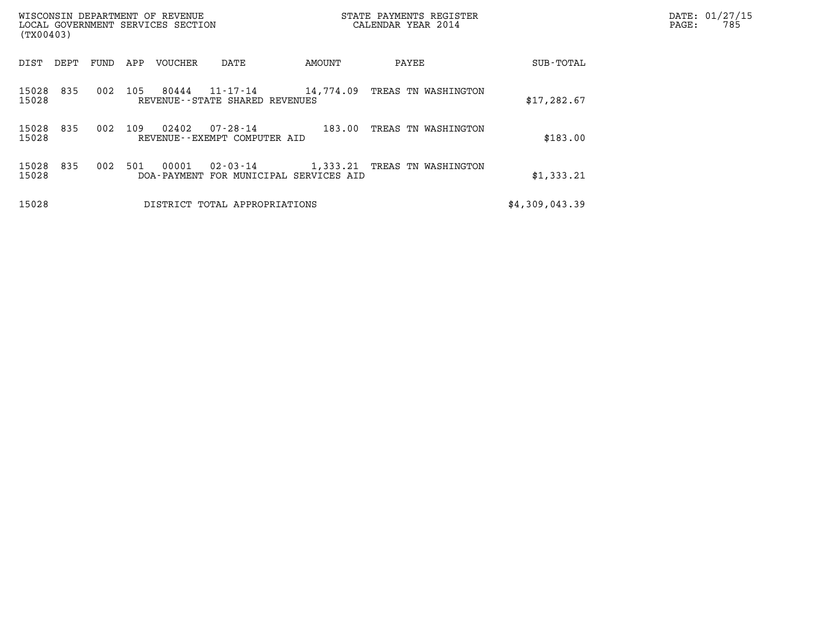| (TX00403)             | WISCONSIN DEPARTMENT OF REVENUE<br>LOCAL GOVERNMENT SERVICES SECTION |     |         |                                                          |           | STATE PAYMENTS REGISTER<br>CALENDAR YEAR 2014 |                | DATE: 01/27/15<br>785<br>PAGE: |
|-----------------------|----------------------------------------------------------------------|-----|---------|----------------------------------------------------------|-----------|-----------------------------------------------|----------------|--------------------------------|
| DEPT<br>DIST          | FUND                                                                 | APP | VOUCHER | DATE                                                     | AMOUNT    | PAYEE                                         | SUB-TOTAL      |                                |
| 15028<br>835<br>15028 | 002                                                                  | 105 | 80444   | 11-17-14<br>REVENUE--STATE SHARED REVENUES               | 14,774.09 | TREAS TN WASHINGTON                           | \$17,282.67    |                                |
| 15028<br>835<br>15028 | 002                                                                  | 109 | 02402   | 07-28-14<br>REVENUE--EXEMPT COMPUTER AID                 | 183.00    | TREAS TN WASHINGTON                           | \$183.00       |                                |
| 835<br>15028<br>15028 | 002                                                                  | 501 | 00001   | $02 - 03 - 14$<br>DOA-PAYMENT FOR MUNICIPAL SERVICES AID |           | 1,333.21 TREAS TN WASHINGTON                  | \$1,333.21     |                                |
| 15028                 |                                                                      |     |         | DISTRICT TOTAL APPROPRIATIONS                            |           |                                               | \$4,309,043.39 |                                |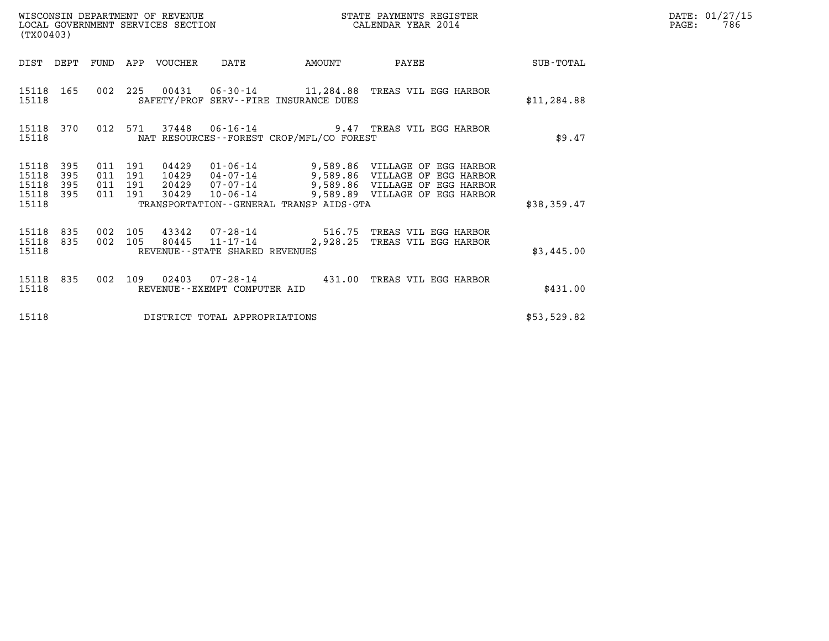| (TX00403)                                                          | WISCONSIN DEPARTMENT OF REVENUE<br>LOCAL GOVERNMENT SERVICES SECTION                           | STATE PAYMENTS REGISTER<br>CALENDAR YEAR 2014                                                                                                                                                       | DATE: 01/27/15<br>$\mathtt{PAGE}$ :<br>786 |  |
|--------------------------------------------------------------------|------------------------------------------------------------------------------------------------|-----------------------------------------------------------------------------------------------------------------------------------------------------------------------------------------------------|--------------------------------------------|--|
|                                                                    | DIST DEPT FUND APP VOUCHER DATE                                                                | <b>EXAMPLE THE PROPERTY OF STATE</b><br>PAYEE                                                                                                                                                       | SUB-TOTAL                                  |  |
| 15118 165<br>15118                                                 | 002 225 00431 06-30-14 11,284.88 TREAS VIL EGG HARBOR<br>SAFETY/PROF SERV--FIRE INSURANCE DUES |                                                                                                                                                                                                     | \$11, 284.88                               |  |
| 15118 370<br>15118                                                 | 012 571 37448 06-16-14<br>NAT RESOURCES - - FOREST CROP/MFL/CO FOREST                          | 9.47 TREAS VIL EGG HARBOR                                                                                                                                                                           | \$9.47                                     |  |
| 15118<br>395<br>395<br>15118<br>15118<br>395<br>15118 395<br>15118 | 011 191<br>04429<br>011 191<br>011 191<br>011 191<br>TRANSPORTATION--GENERAL TRANSP AIDS-GTA   | 01-06-14 9,589.86 VILLAGE OF EGG HARBOR<br>10429  04-07-14  9,589.86  VILLAGE OF EGG HARBOR<br>20429  07-07-14  9,589.86  VILLAGE OF EGG HARBOR<br>30429  10-06-14  9,589.89  VILLAGE OF EGG HARBOR | \$38,359.47                                |  |
| 15118 835<br>002<br>15118 835<br>15118                             | 105<br>002 105<br>REVENUE--STATE SHARED REVENUES                                               |                                                                                                                                                                                                     | \$3,445.00                                 |  |
| 15118 835<br>002<br>15118                                          | 109<br>REVENUE--EXEMPT COMPUTER AID                                                            | 02403  07-28-14  431.00  TREAS VIL EGG HARBOR                                                                                                                                                       | \$431.00                                   |  |
| 15118                                                              | DISTRICT TOTAL APPROPRIATIONS                                                                  |                                                                                                                                                                                                     | \$53,529.82                                |  |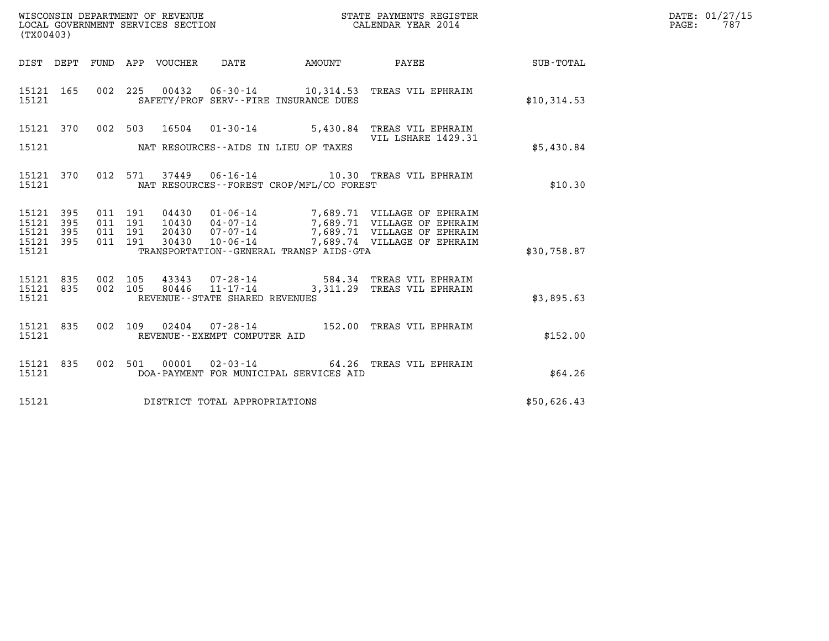| WISCONSIN DEPARTMENT OF REVENUE   | STATE PAYMENTS REGISTER | DATE: 01/27/15 |
|-----------------------------------|-------------------------|----------------|
| LOCAL GOVERNMENT SERVICES SECTION | CALENDAR YEAR 2014      | 787<br>PAGE:   |

| (TX00403)               |            |            |            |                  |                                |                                              | WISCONSIN DEPARTMENT OF REVENUE<br>LOCAL GOVERNMENT SERVICES SECTION TERM CALENDAR YEAR 2014<br>STATE PAYMENTS REGISTER |             |
|-------------------------|------------|------------|------------|------------------|--------------------------------|----------------------------------------------|-------------------------------------------------------------------------------------------------------------------------|-------------|
| DIST                    | DEPT       | FUND       |            | APP VOUCHER DATE |                                | AMOUNT                                       | PAYEE                                                                                                                   | SUB-TOTAL   |
| 15121 165<br>15121      |            | 002        | 225        |                  |                                | SAFETY/PROF SERV--FIRE INSURANCE DUES        | 00432  06-30-14  10,314.53  TREAS VIL EPHRAIM                                                                           | \$10,314.53 |
| 15121                   | 370        | 002        | 503        | 16504            | $01 - 30 - 14$                 |                                              | 5,430.84 TREAS VIL EPHRAIM<br>VIL LSHARE 1429.31                                                                        |             |
| 15121                   |            |            |            |                  |                                | NAT RESOURCES--AIDS IN LIEU OF TAXES         |                                                                                                                         | \$5,430.84  |
| 15121<br>15121          | 370        | 012        | 571        |                  |                                | NAT RESOURCES--FOREST CROP/MFL/CO FOREST     |                                                                                                                         | \$10.30     |
| 15121<br>15121          | 395<br>395 | 011<br>011 | 191<br>191 | 04430<br>10430   |                                |                                              | 01-06-14 7,689.71 VILLAGE OF EPHRAIM<br>04-07-14 7,689.71 VILLAGE OF EPHRAIM<br>07-07-14 7,689.71 VILLAGE OF EPHRAIM    |             |
| 15121<br>15121<br>15121 | 395<br>395 | 011<br>011 | 191<br>191 | 20430<br>30430   | 10-06-14                       | TRANSPORTATION - - GENERAL TRANSP AIDS - GTA | 7,689.74 VILLAGE OF EPHRAIM                                                                                             | \$30,758.87 |
| 15121 835<br>15121      | 835        | 002<br>002 | 105<br>105 | 80446            |                                |                                              | 43343 07-28-14 584.34 TREAS VIL EPHRAIM<br>11-17-14 3,311.29 TREAS VIL EPHRAIM                                          |             |
| 15121                   |            |            |            |                  | REVENUE--STATE SHARED REVENUES |                                              |                                                                                                                         | \$3,895.63  |
| 15121<br>15121          | 835        | 002        | 109        |                  | REVENUE--EXEMPT COMPUTER AID   |                                              | 02404  07-28-14  152.00 TREAS VIL EPHRAIM                                                                               | \$152.00    |
| 15121<br>15121          | 835        | 002        | 501        | 00001            |                                | DOA-PAYMENT FOR MUNICIPAL SERVICES AID       | 02-03-14 64.26 TREAS VIL EPHRAIM                                                                                        | \$64.26     |
| 15121                   |            |            |            |                  | DISTRICT TOTAL APPROPRIATIONS  |                                              |                                                                                                                         | \$50,626.43 |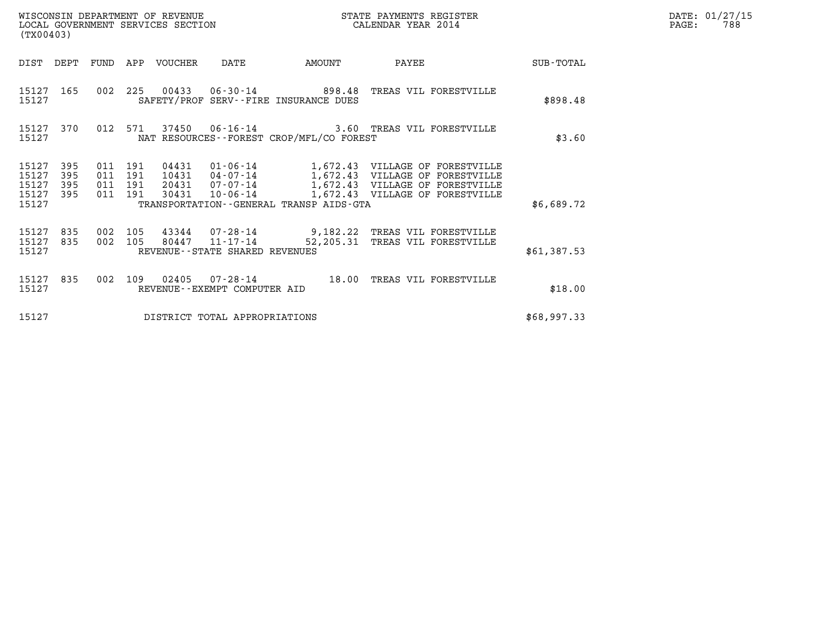| WISCONSIN DEPARTMENT OF REVENUE<br>LOCAL GOVERNMENT SERVICES SECTION<br>$(my \wedge \wedge \wedge \wedge \wedge)$ | STATE PAYMENTS REGISTER<br>CALENDAR YEAR 2014 | DATE: 01/27/15<br>788<br>PAGE: |
|-------------------------------------------------------------------------------------------------------------------|-----------------------------------------------|--------------------------------|

| (TX00403)                                 |                          |                                          |  |                       |                                |                                              |                                                                                                                 | DATE: 01/27/15<br>$\mathtt{PAGE}$ :<br>788 |  |
|-------------------------------------------|--------------------------|------------------------------------------|--|-----------------------|--------------------------------|----------------------------------------------|-----------------------------------------------------------------------------------------------------------------|--------------------------------------------|--|
| DIST DEPT                                 |                          |                                          |  | FUND APP VOUCHER DATE |                                | <b>EXAMPLE THE AMOUNT</b>                    | PAYEE                                                                                                           | SUB-TOTAL                                  |  |
| 15127 165<br>15127                        |                          |                                          |  |                       |                                | SAFETY/PROF SERV--FIRE INSURANCE DUES        | 002 225 00433 06-30-14 898.48 TREAS VIL FORESTVILLE                                                             | \$898.48                                   |  |
| 15127 370<br>15127                        |                          |                                          |  |                       |                                | NAT RESOURCES - - FOREST CROP/MFL/CO FOREST  | 012 571 37450 06-16-14 3.60 TREAS VIL FORESTVILLE                                                               | \$3.60                                     |  |
| 15127<br>15127<br>15127<br>15127<br>15127 | 395<br>395<br>395<br>395 | 011 191<br>011 191<br>011 191<br>011 191 |  |                       |                                | TRANSPORTATION - - GENERAL TRANSP AIDS - GTA |                                                                                                                 | \$6,689.72                                 |  |
| 15127<br>15127 835<br>15127               | 835                      |                                          |  |                       | REVENUE--STATE SHARED REVENUES |                                              | 002 105 43344 07-28-14 9,182.22 TREAS VIL FORESTVILLE<br>002 105 80447 11-17-14 52,205.31 TREAS VIL FORESTVILLE | \$61,387.53                                |  |
| 15127 835<br>15127                        |                          |                                          |  |                       | REVENUE--EXEMPT COMPUTER AID   |                                              | 002 109 02405 07-28-14 18.00 TREAS VIL FORESTVILLE                                                              | \$18.00                                    |  |
| 15127                                     |                          |                                          |  |                       | DISTRICT TOTAL APPROPRIATIONS  |                                              |                                                                                                                 | \$68,997.33                                |  |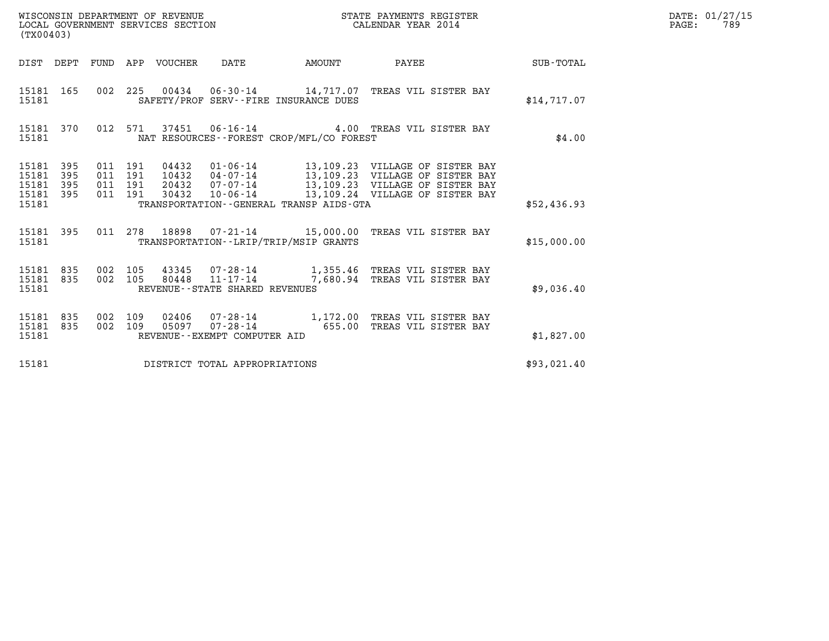| STATE PAYMENTS REGISTER<br>CALENDAR YEAR 2014 | DATE: 01/27/15<br>789<br>PAGE: |
|-----------------------------------------------|--------------------------------|
|                                               |                                |

| (TX00403)                                    | LOCAL GOVERNMENT SERVICES SECTION                                 | CALENDAR YEAR 2014                                                                                                                                                           |              |             |  |  |
|----------------------------------------------|-------------------------------------------------------------------|------------------------------------------------------------------------------------------------------------------------------------------------------------------------------|--------------|-------------|--|--|
| DIST<br>DEPT                                 | FUND<br>APP VOUCHER DATE                                          | <b>AMOUNT</b>                                                                                                                                                                | <b>PAYEE</b> | SUB-TOTAL   |  |  |
| 15181 165<br>15181                           | 002                                                               | 225  00434  06-30-14  14,717.07  TREAS VIL SISTER BAY<br>SAFETY/PROF SERV--FIRE INSURANCE DUES                                                                               |              | \$14,717.07 |  |  |
| 15181 370<br>15181                           | 012                                                               | 571  37451  06-16-14  4.00  TREAS VIL SISTER BAY<br>NAT RESOURCES--FOREST CROP/MFL/CO FOREST                                                                                 |              | \$4.00      |  |  |
| 15181<br>395<br>15181<br>395<br>15181<br>395 | 011<br>191<br>04432<br>10432<br>011<br>191<br>20432<br>191<br>011 | 01-06-14 13,109.23 VILLAGE OF SISTER BAY<br>04-07-14 13,109.23 VILLAGE OF SISTER BAY<br>07-07-14 13,109.23 VILLAGE OF SISTER BAY<br>10-06-14 13,109.24 VILLAGE OF SISTER BAY |              |             |  |  |
| 15181<br>395<br>15181                        | 011<br>191<br>30432                                               | TRANSPORTATION--GENERAL TRANSP AIDS-GTA                                                                                                                                      |              | \$52,436.93 |  |  |
| 395<br>15181<br>15181                        | 011                                                               | 278 18898  07-21-14   15,000.00 TREAS VIL SISTER BAY<br>TRANSPORTATION - - LRIP/TRIP/MSIP GRANTS                                                                             |              | \$15,000.00 |  |  |
| 835<br>15181<br>15181<br>835<br>15181        | 002<br>105<br>002<br>105<br>REVENUE--STATE SHARED REVENUES        |                                                                                                                                                                              |              | \$9,036.40  |  |  |
| 835<br>15181<br>15181<br>835<br>15181        | 002<br>109<br>05097<br>002<br>109<br>REVENUE--EXEMPT COMPUTER AID | 02406  07-28-14  1,172.00 TREAS VIL SISTER BAY<br>07-28-14 655.00 TREAS VIL SISTER BAY                                                                                       |              | \$1,827.00  |  |  |
| 15181                                        | DISTRICT TOTAL APPROPRIATIONS                                     |                                                                                                                                                                              |              | \$93,021.40 |  |  |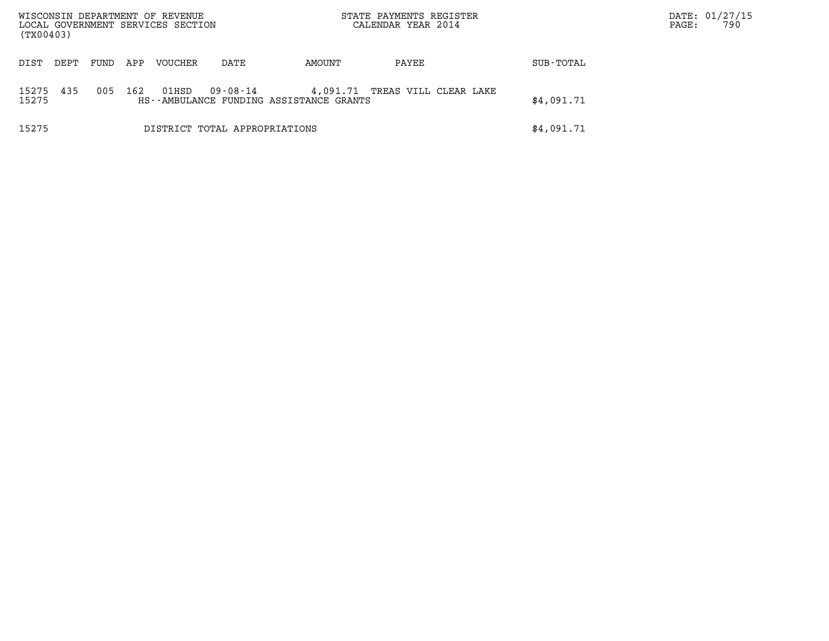| WISCONSIN DEPARTMENT OF REVENUE<br>STATE PAYMENTS REGISTER<br>CALENDAR YEAR 2014<br>LOCAL GOVERNMENT SERVICES SECTION<br>(TX00403) |                                                                                                                     |      |     |         |      |        |            | PAGE:      | DATE: 01/27/15<br>790 |  |
|------------------------------------------------------------------------------------------------------------------------------------|---------------------------------------------------------------------------------------------------------------------|------|-----|---------|------|--------|------------|------------|-----------------------|--|
| DIST<br>DEPT                                                                                                                       |                                                                                                                     | FUND | APP | VOUCHER | DATE | AMOUNT | PAYEE      | SUB-TOTAL  |                       |  |
| 15275<br>15275                                                                                                                     | 435<br>005<br>162<br>09-08-14<br>01HSD<br>4,091.71 TREAS VILL CLEAR LAKE<br>HS--AMBULANCE FUNDING ASSISTANCE GRANTS |      |     |         |      |        |            | \$4,091.71 |                       |  |
| 15275<br>DISTRICT TOTAL APPROPRIATIONS                                                                                             |                                                                                                                     |      |     |         |      |        | \$4,091.71 |            |                       |  |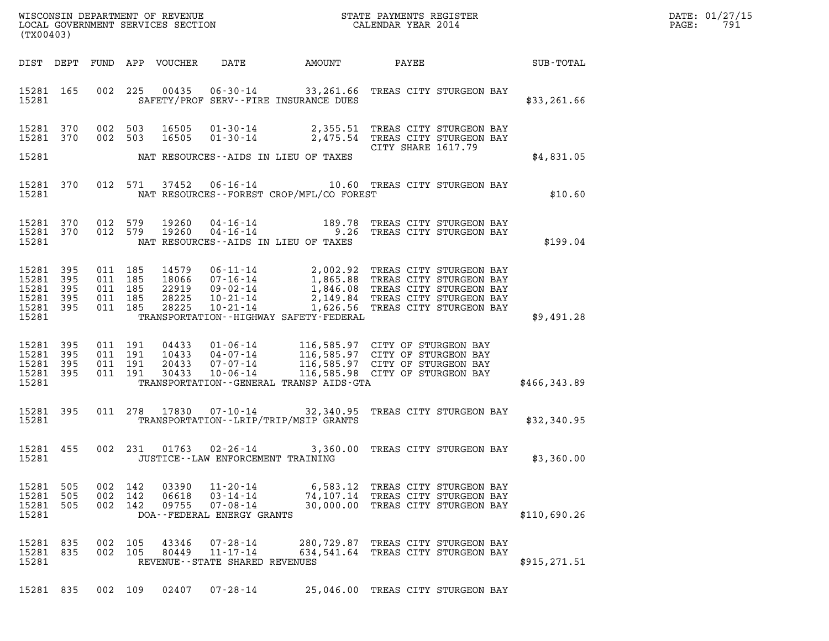| DATE: | 01/27/15 |
|-------|----------|
| PAGE: | 791      |

| (TX00403)                                                                                                                                                                                                                                                                                                                                                                                                                                |  |
|------------------------------------------------------------------------------------------------------------------------------------------------------------------------------------------------------------------------------------------------------------------------------------------------------------------------------------------------------------------------------------------------------------------------------------------|--|
| DIST DEPT FUND APP VOUCHER DATE AMOUNT PAYEE SUB-TOTAL                                                                                                                                                                                                                                                                                                                                                                                   |  |
| 15281 165 002 225 00435 06-30-14 33,261.66 TREAS CITY STURGEON BAY<br>15281 2002<br>SAFETY/PROF SERV--FIRE INSURANCE DUES<br>\$33,261.66                                                                                                                                                                                                                                                                                                 |  |
| 002 503 16505 01-30-14 2,355.51 TREAS CITY STURGEON BAY<br>002 503 16505 01-30-14 2,475.54 TREAS CITY STURGEON BAY<br>15281 370<br>15281 370<br>CITY SHARE 1617.79                                                                                                                                                                                                                                                                       |  |
| 15281 NAT RESOURCES--AIDS IN LIEU OF TAXES<br>\$4,831.05                                                                                                                                                                                                                                                                                                                                                                                 |  |
| 15281 370 012 571 37452 06-16-14 10.60 TREAS CITY STURGEON BAY<br>N BAY<br>\$10.60<br>15281 NAT RESOURCES--FOREST CROP/MFL/CO FOREST                                                                                                                                                                                                                                                                                                     |  |
| $\begin{array}{cccccccc} 15281 & 370 & 012 & 579 & 19260 & 04\cdot 16\cdot 14 & & & & 189.78 & \text{TREAS CITY STUREEON BAY} \\ 15281 & 370 & 012 & 579 & 19260 & 04\cdot 16\cdot 14 & & & & 9.26 & \text{TREAS CITY STUREEON BAY} \end{array}$<br>\$199.04<br>15281<br>NAT RESOURCES -- AIDS IN LIEU OF TAXES                                                                                                                          |  |
| 14579  06-11-14  2,002.92  TREAS CITY STURGEON BAY<br>18066  07-16-14  1,865.88  TREAS CITY STURGEON BAY<br>22919  09-02-14  1,846.08  TREAS CITY STURGEON BAY<br>28225  10-21-14  2,149.84  TREAS CITY STURGEON BAY<br>28225  10-21-14  1<br>15281 395<br>011 185<br>15281 395<br>011 185<br>15281 395<br>011 185<br>15281 395<br>011 185<br>011 185<br>15281 395<br>15281<br>TRANSPORTATION - - HIGHWAY SAFETY - FEDERAL<br>\$9,491.28 |  |
| 15281 395<br>15281 395<br>15281 395<br>15281 395<br>15281 TRANSPORTATION - GENERAL TRANSP AIDS - GTA<br>\$466,343.89                                                                                                                                                                                                                                                                                                                     |  |
| 15281 395 011 278 17830 07-10-14 32,340.95 TREAS CITY STURGEON BAY<br>15281 TRANSPORTATION--LRIP/TRIP/MSIP GRANTS<br>\$32,340.95                                                                                                                                                                                                                                                                                                         |  |
| 15281 455 002 231 01763 02-26-14 3,360.00 TREAS CITY STURGEON BAY<br>\$3,360.00<br>15281<br>JUSTICE - - LAW ENFORCEMENT TRAINING                                                                                                                                                                                                                                                                                                         |  |
| 15281 505<br>002 142<br>03390<br>11-20-14<br>6,583.12 TREAS CITY STURGEON BAY<br>15281<br>505<br>002 142<br>06618<br>$03 - 14 - 14$<br>74,107.14 TREAS CITY STURGEON BAY<br>15281 505<br>002 142<br>09755<br>$07 - 08 - 14$<br>30,000.00 TREAS CITY STURGEON BAY<br>15281<br>DOA--FEDERAL ENERGY GRANTS<br>\$110,690.26                                                                                                                  |  |
| 15281 835<br>002 105<br>43346<br>$07 - 28 - 14$<br>280,729.87 TREAS CITY STURGEON BAY<br>15281 835<br>002 105<br>80449<br>$11 - 17 - 14$<br>634,541.64 TREAS CITY STURGEON BAY<br>15281<br>\$915,271.51<br>REVENUE--STATE SHARED REVENUES                                                                                                                                                                                                |  |
| 15281 835<br>002 109 02407 07-28-14<br>25,046.00 TREAS CITY STURGEON BAY                                                                                                                                                                                                                                                                                                                                                                 |  |